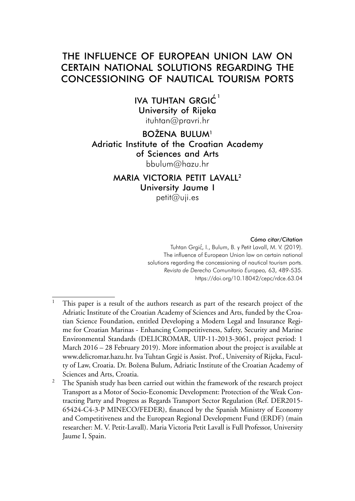# THE INFLUENCE OF EUROPEAN UNION LAW ON CERTAIN NATIONAL SOLUTIONS REGARDING THE CONCESSIONING OF NAUTICAL TOURISM PORTS

IVA TUHTAN GRGIĆ<sup>1</sup> University of Rijeka [ituhtan@pravri.hr](mailto:ituhtan@pravri.hr)

# BOŽENA BULUM<sup>1</sup> Adriatic Institute of the Croatian Academy of Sciences and Arts [bbulum@hazu.hr](mailto:bbulum@hazu.hr)

# MARIA VICTORIA PETIT LAVALL2 University Jaume I

[petit@uji.es](mailto:petit@uji.es)

#### *Cómo citar/Citation*

Tuhtan Grgić, I., Bulum, B. y Petit Lavall, M. V. (2019). The influence of European Union law on certain national solutions regarding the concessioning of nautical tourism ports. *Revista de Derecho Comunitario Europeo,* 63, 489-535. <https://doi.org/10.18042/cepc/rdce.63.04>

<sup>&</sup>lt;sup>1</sup> This paper is a result of the authors research as part of the research project of the Adriatic Institute of the Croatian Academy of Sciences and Arts, funded by the Croatian Science Foundation, entitled Developing a Modern Legal and Insurance Regime for Croatian Marinas - Enhancing Competitiveness, Safety, Security and Marine Environmental Standards (DELICROMAR, UIP-11-2013-3061, project period: 1 March 2016 – 28 February 2019). More information about the project is available at [www.delicromar.hazu.hr](http://www.delicromar.hazu.hr). Iva Tuhtan Grgić is Assist. Prof., University of Rijeka, Faculty of Law, Croatia. Dr. Božena Bulum, Adriatic Institute of the Croatian Academy of Sciences and Arts, Croatia.

 $2$  The Spanish study has been carried out within the framework of the research project Transport as a Motor of Socio-Economic Development: Protection of the Weak Contracting Party and Progress as Regards Transport Sector Regulation (Ref. DER2015- 65424-C4-3-P MINECO/FEDER), financed by the Spanish Ministry of Economy and Competitiveness and the European Regional Development Fund (ERDF) (main researcher: M. V. Petit-Lavall). Maria Victoria Petit Lavall is Full Professor, University Jaume I, Spain.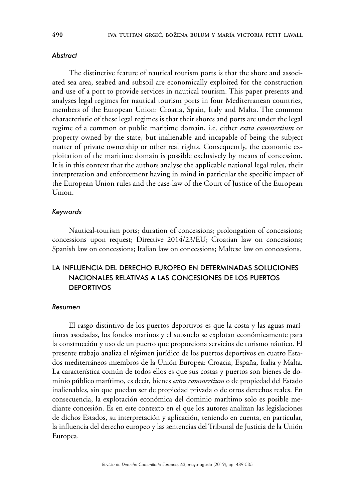#### *Abstract*

The distinctive feature of nautical tourism ports is that the shore and associated sea area, seabed and subsoil are economically exploited for the construction and use of a port to provide services in nautical tourism. This paper presents and analyses legal regimes for nautical tourism ports in four Mediterranean countries, members of the European Union: Croatia, Spain, Italy and Malta. The common characteristic of these legal regimes is that their shores and ports are under the legal regime of a common or public maritime domain, i.e. either *extra commertium* or property owned by the state, but inalienable and incapable of being the subject matter of private ownership or other real rights. Consequently, the economic exploitation of the maritime domain is possible exclusively by means of concession. It is in this context that the authors analyse the applicable national legal rules, their interpretation and enforcement having in mind in particular the specific impact of the European Union rules and the case-law of the Court of Justice of the European Union.

#### *Keywords*

Nautical-tourism ports; duration of concessions; prolongation of concessions; concessions upon request; Directive 2014/23/EU; Croatian law on concessions; Spanish law on concessions; Italian law on concessions; Maltese law on concessions.

# LA INFLUENCIA DEL DERECHO EUROPEO EN DETERMINADAS SOLUCIONES NACIONALES RELATIVAS A LAS CONCESIONES DE LOS PUERTOS **DEPORTIVOS**

#### *Resumen*

El rasgo distintivo de los puertos deportivos es que la costa y las aguas marítimas asociadas, los fondos marinos y el subsuelo se explotan económicamente para la construcción y uso de un puerto que proporciona servicios de turismo náutico. El presente trabajo analiza el régimen jurídico de los puertos deportivos en cuatro Estados mediterráneos miembros de la Unión Europea: Croacia, España, Italia y Malta. La característica común de todos ellos es que sus costas y puertos son bienes de dominio público marítimo, es decir, bienes *extra commertium* o de propiedad del Estado inalienables, sin que puedan ser de propiedad privada o de otros derechos reales. En consecuencia, la explotación económica del dominio marítimo solo es posible mediante concesión. Es en este contexto en el que los autores analizan las legislaciones de dichos Estados, su interpretación y aplicación, teniendo en cuenta, en particular, la influencia del derecho europeo y las sentencias del Tribunal de Justicia de la Unión Europea.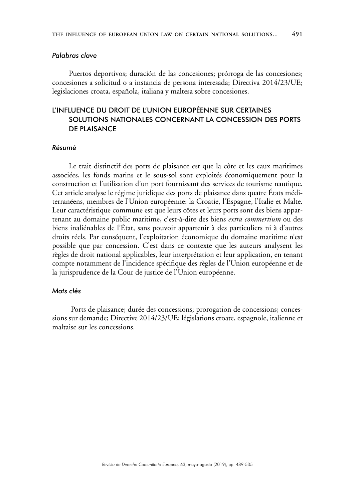#### *Palabras clave*

Puertos deportivos; duración de las concesiones; prórroga de las concesiones; concesiones a solicitud o a instancia de persona interesada; Directiva 2014/23/UE; legislaciones croata, española, italiana y maltesa sobre concesiones.

# L'INFLUENCE DU DROIT DE L'UNION EUROPÉENNE SUR CERTAINES SOLUTIONS NATIONALES CONCERNANT LA CONCESSION DES PORTS DE PLAISANCE

#### *Résumé*

Le trait distinctif des ports de plaisance est que la côte et les eaux maritimes associées, les fonds marins et le sous-sol sont exploités économiquement pour la construction et l'utilisation d'un port fournissant des services de tourisme nautique. Cet article analyse le régime juridique des ports de plaisance dans quatre États méditerranéens, membres de l'Union européenne: la Croatie, l'Espagne, l'Italie et Malte. Leur caractéristique commune est que leurs côtes et leurs ports sont des biens appartenant au domaine public maritime, c'est-à-dire des biens *extra commertium* ou des biens inaliénables de l'État, sans pouvoir appartenir à des particuliers ni à d'autres droits réels. Par conséquent, l'exploitation économique du domaine maritime n'est possible que par concession. C'est dans ce contexte que les auteurs analysent les règles de droit national applicables, leur interprétation et leur application, en tenant compte notamment de l'incidence spécifique des règles de l'Union européenne et de la jurisprudence de la Cour de justice de l'Union européenne.

#### *Mots clés*

 Ports de plaisance; durée des concessions; prorogation de concessions; concessions sur demande; Directive 2014/23/UE; législations croate, espagnole, italienne et maltaise sur les concessions.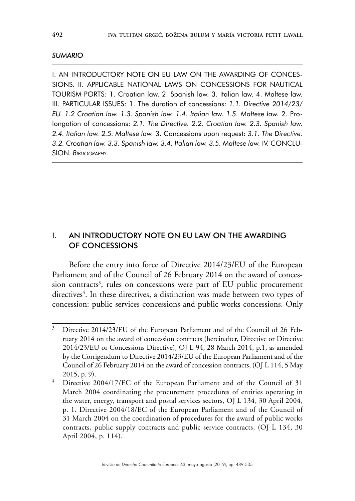#### *SUMARIO*

I. AN INTRODUCTORY NOTE ON EU LAW ON THE AWARDING OF CONCES-SIONS. II. APPLICABLE NATIONAL LAWS ON CONCESSIONS FOR NAUTICAL TOURISM PORTS: 1. Croatian law. 2. Spanish law. 3. Italian law. 4. Maltese law. III. PARTICULAR ISSUES: 1. The duration of concessions: *1.1. Directive 2014/23/ EU. 1.2 Croatian law. 1.3. Spanish law. 1.4. Italian law. 1.5. Maltese law.* 2. Prolongation of concessions: *2.1. The Directive. 2.2. Croatian law. 2.3. Spanish law. 2.4. Italian law. 2.5. Maltese law.* 3. Concessions upon request: *3.1. The Directive. 3.2. Croatian law. 3.3. Spanish law. 3.4. Italian law. 3.5. Maltese law.* IV. CONCLU-SION. *Bibliography.*

# I. AN INTRODUCTORY NOTE ON EU LAW ON THE AWARDING OF CONCESSIONS

Before the entry into force of Directive 2014/23/EU of the European Parliament and of the Council of 26 February 2014 on the award of concession contracts<sup>3</sup>, rules on concessions were part of EU public procurement directives<sup>4</sup>. In these directives, a distinction was made between two types of concession: public services concessions and public works concessions. Only

<sup>&</sup>lt;sup>3</sup> Directive 2014/23/EU of the European Parliament and of the Council of 26 February 2014 on the award of concession contracts (hereinafter, Directive or Directive 2014/23/EU or Concessions Directive), OJ L 94, 28 March 2014, p.1, as amended by the Corrigendum to Directive 2014/23/EU of the European Parliament and of the Council of 26 February 2014 on the award of concession contracts, (OJ L 114, 5 May 2015, p. 9).

<sup>&</sup>lt;sup>4</sup> Directive 2004/17/EC of the European Parliament and of the Council of 31 March 2004 coordinating the procurement procedures of entities operating in the water, energy, transport and postal services sectors, OJ L 134, 30 April 2004, p. 1. Directive 2004/18/EC of the European Parliament and of the Council of 31 March 2004 on the coordination of procedures for the award of public works contracts, public supply contracts and public service contracts, (OJ L 134, 30 April 2004, p. 114).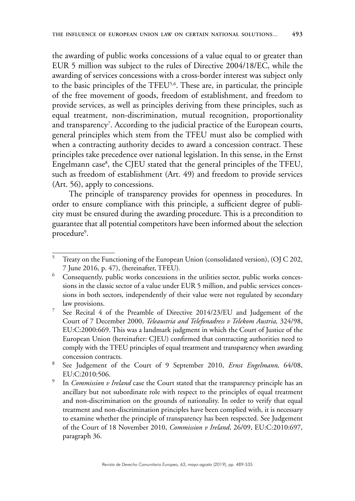the awarding of public works concessions of a value equal to or greater than EUR 5 million was subject to the rules of Directive 2004/18/EC, while the awarding of services concessions with a cross-border interest was subject only to the basic principles of the TFEU<sup>5,6</sup>. These are, in particular, the principle of the free movement of goods, freedom of establishment, and freedom to provide services, as well as principles deriving from these principles, such as equal treatment, non-discrimination, mutual recognition, proportionality and transparency<sup>7</sup>. According to the judicial practice of the European courts, general principles which stem from the TFEU must also be complied with when a contracting authority decides to award a concession contract. These principles take precedence over national legislation. In this sense, in the Ernst Engelmann case<sup>8</sup>, the CJEU stated that the general principles of the TFEU, such as freedom of establishment (Art. 49) and freedom to provide services (Art. 56), apply to concessions.

The principle of transparency provides for openness in procedures. In order to ensure compliance with this principle, a sufficient degree of publicity must be ensured during the awarding procedure. This is a precondition to guarantee that all potential competitors have been informed about the selection procedure<sup>9</sup>.

<sup>5</sup> Treaty on the Functioning of the European Union (consolidated version), (OJ C 202, 7 June 2016, p. 47), (hereinafter, TFEU)*.*

<sup>&</sup>lt;sup>6</sup> Consequently, public works concessions in the utilities sector, public works concessions in the classic sector of a value under EUR 5 million, and public services concessions in both sectors, independently of their value were not regulated by secondary law provisions.

<sup>7</sup> See Recital 4 of the Preamble of Directive 2014/23/EU and Judgement of the Court of 7 December 2000, *Teleaustria and Telefonadress v Telekom Austria,* 324/98, EU:C:2000:669. This was a landmark judgment in which the Court of Justice of the European Union (hereinafter: CJEU) confirmed that contracting authorities need to comply with the TFEU principles of equal treatment and transparency when awarding concession contracts.

<sup>8</sup> See Judgement of the Court of 9 September 2010, *Ernst Engelmann,* 64/08, EU:C:2010:506.

<sup>9</sup> In *Commission v Ireland* case the Court stated that the transparency principle has an ancillary but not subordinate role with respect to the principles of equal treatment and non-discrimination on the grounds of nationality. In order to verify that equal treatment and non-discrimination principles have been complied with, it is necessary to examine whether the principle of transparency has been respected. See Judgement of the Court of 18 November 2010, *Commission v Ireland*, 26/09, EU:C:2010:697, paragraph 36.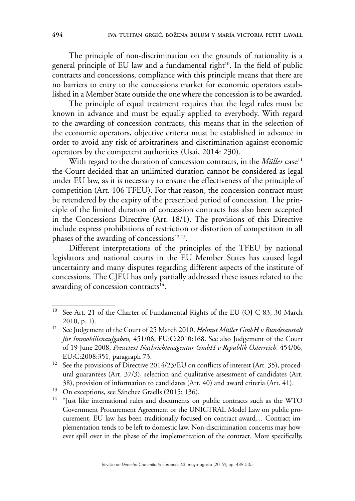The principle of non-discrimination on the grounds of nationality is a general principle of EU law and a fundamental right<sup>10</sup>. In the field of public contracts and concessions, compliance with this principle means that there are no barriers to entry to the concessions market for economic operators established in a Member State outside the one where the concession is to be awarded.

The principle of equal treatment requires that the legal rules must be known in advance and must be equally applied to everybody. With regard to the awarding of concession contracts, this means that in the selection of the economic operators, objective criteria must be established in advance in order to avoid any risk of arbitrariness and discrimination against economic operators by the competent authorities (Usai, 2014: 230).

With regard to the duration of concession contracts, in the *Müller* case<sup>11</sup> the Court decided that an unlimited duration cannot be considered as legal under EU law, as it is necessary to ensure the effectiveness of the principle of competition (Art. 106 TFEU). For that reason, the concession contract must be retendered by the expiry of the prescribed period of concession. The principle of the limited duration of concession contracts has also been accepted in the Concessions Directive (Art. 18/1). The provisions of this Directive include express prohibitions of restriction or distortion of competition in all phases of the awarding of concessions $12,13$ .

Different interpretations of the principles of the TFEU by national legislators and national courts in the EU Member States has caused legal uncertainty and many disputes regarding different aspects of the institute of concessions. The CJEU has only partially addressed these issues related to the awarding of concession contracts $14$ .

<sup>&</sup>lt;sup>10</sup> See Art. 21 of the Charter of Fundamental Rights of the EU (OJ C 83, 30 March 2010, p. 1).

<sup>11</sup> See Judgement of the Court of 25 March 2010, *Helmut Müller GmbH v Bundesanstalt für Immobilienaufgaben,* 451/06, EU:C:2010:168. See also Judgement of the Court of 19 June 2008, *Pressetext Nachrichtenagentur GmbH v Republik Österreich,* 454/06, EU:C:2008:351, paragraph 73.

<sup>&</sup>lt;sup>12</sup> See the provisions of Directive 2014/23/EU on conflicts of interest (Art. 35), procedural guarantees (Art. 37/3), selection and qualitative assessment of candidates (Art. 38), provision of information to candidates (Art. 40) and award criteria (Art. 41).

<sup>&</sup>lt;sup>13</sup> On exceptions, see Sánchez Graells (2015: 136).

<sup>&</sup>lt;sup>14</sup> "Just like international rules and documents on public contracts such as the WTO Government Procurement Agreement or the UNICTRAL Model Law on public procurement, EU law has been traditionally focused on contract award… Contract implementation tends to be left to domestic law. Non-discrimination concerns may however spill over in the phase of the implementation of the contract. More specifically,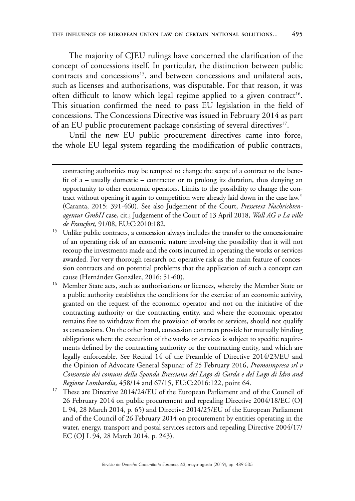The majority of CJEU rulings have concerned the clarification of the concept of concessions itself. In particular, the distinction between public contracts and concessions<sup>15</sup>, and between concessions and unilateral acts, such as licenses and authorisations, was disputable. For that reason, it was often difficult to know which legal regime applied to a given contract<sup>16</sup>. This situation confirmed the need to pass EU legislation in the field of concessions. The Concessions Directive was issued in February 2014 as part of an EU public procurement package consisting of several directives<sup>17</sup>.

Until the new EU public procurement directives came into force, the whole EU legal system regarding the modification of public contracts,

- <sup>16</sup> Member State acts, such as authorisations or licences, whereby the Member State or a public authority establishes the conditions for the exercise of an economic activity, granted on the request of the economic operator and not on the initiative of the contracting authority or the contracting entity, and where the economic operator remains free to withdraw from the provision of works or services, should not qualify as concessions. On the other hand, concession contracts provide for mutually binding obligations where the execution of the works or services is subject to specific requirements defined by the contracting authority or the contracting entity, and which are legally enforceable. See Recital 14 of the Preamble of Directive 2014/23/EU and the Opinion of Advocate General Szpunar of 25 February 2016, *Promoimpresa srl v Consorzio dei comuni della Sponda Bresciana del Lago di Garda e del Lago di Idro and Regione Lombardia,* 458/14 and 67/15, EU:C:2016:122, point 64.
- <sup>17</sup> These are Directive 2014/24/EU of the European Parliament and of the Council of 26 February 2014 on public procurement and repealing Directive 2004/18/EC (OJ L 94, 28 March 2014, p. 65) and Directive 2014/25/EU of the European Parliament and of the Council of 26 February 2014 on procurement by entities operating in the water, energy, transport and postal services sectors and repealing Directive 2004/17/ EC (OJ L 94, 28 March 2014, p. 243).

contracting authorities may be tempted to change the scope of a contract to the benefit of a – usually domestic – contractor or to prolong its duration, thus denying an opportunity to other economic operators. Limits to the possibility to change the contract without opening it again to competition were already laid down in the case law." (Caranta, 2015: 391-460). See also Judgement of the Court, *Pressetext Nachrichtenagentur GmbH* case, cit.; Judgement of the Court of 13 April 2018, *Wall AG v La ville de Francfort,* 91/08, EU:C:2010:182.

<sup>&</sup>lt;sup>15</sup> Unlike public contracts, a concession always includes the transfer to the concessionaire of an operating risk of an economic nature involving the possibility that it will not recoup the investments made and the costs incurred in operating the works or services awarded. For very thorough research on operative risk as the main feature of concession contracts and on potential problems that the application of such a concept can cause (Hernández González, 2016: 51-60).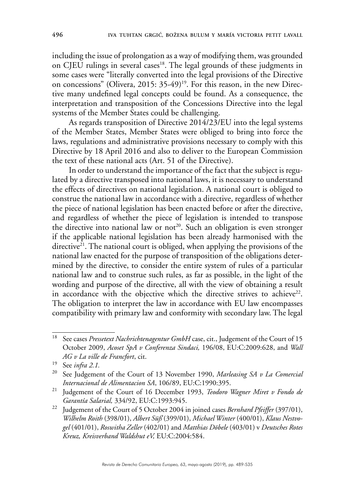including the issue of prolongation as a way of modifying them, was grounded on CJEU rulings in several cases<sup>18</sup>. The legal grounds of these judgments in some cases were "literally converted into the legal provisions of the Directive on concessions" (Olivera, 2015: 35-49)<sup>19</sup>. For this reason, in the new Directive many undefined legal concepts could be found. As a consequence, the interpretation and transposition of the Concessions Directive into the legal systems of the Member States could be challenging.

As regards transposition of Directive 2014/23/EU into the legal systems of the Member States, Member States were obliged to bring into force the laws, regulations and administrative provisions necessary to comply with this Directive by 18 April 2016 and also to deliver to the European Commission the text of these national acts (Art. 51 of the Directive).

In order to understand the importance of the fact that the subject is regulated by a directive transposed into national laws, it is necessary to understand the effects of directives on national legislation. A national court is obliged to construe the national law in accordance with a directive, regardless of whether the piece of national legislation has been enacted before or after the directive, and regardless of whether the piece of legislation is intended to transpose the directive into national law or not<sup>20</sup>. Such an obligation is even stronger if the applicable national legislation has been already harmonised with the directive $2^1$ . The national court is obliged, when applying the provisions of the national law enacted for the purpose of transposition of the obligations determined by the directive, to consider the entire system of rules of a particular national law and to construe such rules, as far as possible, in the light of the wording and purpose of the directive, all with the view of obtaining a result in accordance with the objective which the directive strives to achieve<sup>22</sup>. The obligation to interpret the law in accordance with EU law encompasses compatibility with primary law and conformity with secondary law. The legal

<sup>&</sup>lt;sup>18</sup> See cases *Pressetext Nachrichtenagentur GmbH* case, cit., Judgement of the Court of 15 October 2009, *Acoset SpA v Conferenza Sindaci,* 196/08, EU:C:2009:628, and *Wall AG v La ville de Francfort*, cit.

<sup>19</sup> See *infra 2.1.*

<sup>20</sup> See Judgement of the Court of 13 November 1990, *Marleasing SA v La Comercial Internacional de Alimentacion SA*, 106/89, EU:C:1990:395.

<sup>21</sup> Judgement of the Court of 16 December 1993, *Teodoro Wagner Miret v Fondo de Garantía Salarial,* 334/92, EU:C:1993:945.

<sup>22</sup> Judgement of the Court of 5 October 2004 in joined cases *Bernhard Pfeiffer* (397/01), *Wilhelm Roith* (398/01), *Albert Süß* (399/01), *Michael Winter* (400/01), *Klaus Nestvogel* (401/01), *Roswitha Zeller* (402/01) and *Matthias Döbele* (403/01) v *Deutsches Rotes Kreuz, Kreisverband Waldshut eV,* EU:C:2004:584.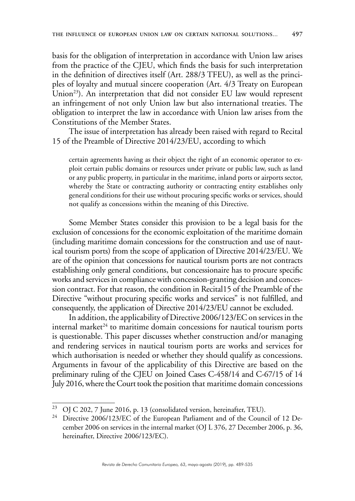basis for the obligation of interpretation in accordance with Union law arises from the practice of the CJEU, which finds the basis for such interpretation in the definition of directives itself (Art. 288/3 TFEU), as well as the principles of loyalty and mutual sincere cooperation (Art. 4/3 Treaty on European Union<sup>23</sup>). An interpretation that did not consider EU law would represent an infringement of not only Union law but also international treaties. The obligation to interpret the law in accordance with Union law arises from the Constitutions of the Member States.

The issue of interpretation has already been raised with regard to Recital 15 of the Preamble of Directive 2014/23/EU, according to which

certain agreements having as their object the right of an economic operator to exploit certain public domains or resources under private or public law, such as land or any public property, in particular in the maritime, inland ports or airports sector, whereby the State or contracting authority or contracting entity establishes only general conditions for their use without procuring specific works or services, should not qualify as concessions within the meaning of this Directive.

Some Member States consider this provision to be a legal basis for the exclusion of concessions for the economic exploitation of the maritime domain (including maritime domain concessions for the construction and use of nautical tourism ports) from the scope of application of Directive 2014/23/EU. We are of the opinion that concessions for nautical tourism ports are not contracts establishing only general conditions, but concessionaire has to procure specific works and services in compliance with concession-granting decision and concession contract. For that reason, the condition in Recital15 of the Preamble of the Directive "without procuring specific works and services" is not fulfilled, and consequently, the application of Directive 2014/23/EU cannot be excluded.

In addition, the applicability of Directive 2006/123/EC on services in the internal market<sup>24</sup> to maritime domain concessions for nautical tourism ports is questionable. This paper discusses whether construction and/or managing and rendering services in nautical tourism ports are works and services for which authorisation is needed or whether they should qualify as concessions. Arguments in favour of the applicability of this Directive are based on the preliminary ruling of the CJEU on Joined Cases C-458/14 and C-67/15 of 14 July 2016, where the Court took the position that maritime domain concessions

<sup>&</sup>lt;sup>23</sup> OJ C 202, 7 June 2016, p. 13 (consolidated version, hereinafter, TEU).

<sup>&</sup>lt;sup>24</sup> Directive 2006/123/EC of the European Parliament and of the Council of 12 December 2006 on services in the internal market (OJ L 376, 27 December 2006, p. 36, hereinafter, Directive 2006/123/EC).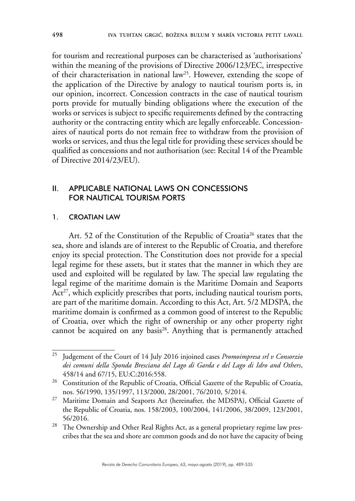for tourism and recreational purposes can be characterised as 'authorisations' within the meaning of the provisions of Directive 2006/123/EC, irrespective of their characterisation in national law25. However, extending the scope of the application of the Directive by analogy to nautical tourism ports is, in our opinion, incorrect. Concession contracts in the case of nautical tourism ports provide for mutually binding obligations where the execution of the works or services is subject to specific requirements defined by the contracting authority or the contracting entity which are legally enforceable. Concessionaires of nautical ports do not remain free to withdraw from the provision of works or services, and thus the legal title for providing these services should be qualified as concessions and not authorisation (see: Recital 14 of the Preamble of Directive 2014/23/EU).

# II. APPLICABLE NATIONAL LAWS ON CONCESSIONS FOR NAUTICAL TOURISM PORTS

### 1. CROATIAN LAW

Art. 52 of the Constitution of the Republic of Croatia<sup>26</sup> states that the sea, shore and islands are of interest to the Republic of Croatia, and therefore enjoy its special protection. The Constitution does not provide for a special legal regime for these assets, but it states that the manner in which they are used and exploited will be regulated by law. The special law regulating the legal regime of the maritime domain is the Maritime Domain and Seaports Act<sup>27</sup>, which explicitly prescribes that ports, including nautical tourism ports, are part of the maritime domain. According to this Act, Art. 5/2 MDSPA, the maritime domain is confirmed as a common good of interest to the Republic of Croatia, over which the right of ownership or any other property right cannot be acquired on any basis<sup>28</sup>. Anything that is permanently attached

<sup>25</sup> Judgement of the Court of 14 July 2016 injoined cases *Promoimpresa srl v Consorzio dei comuni della Sponda Bresciana del Lago di Garda e del Lago di Idro and Others*, 458/14 and 67/15, EU:C:2016:558.

<sup>&</sup>lt;sup>26</sup> Constitution of the Republic of Croatia, Official Gazette of the Republic of Croatia, nos. 56/1990, 135/1997, 113/2000, 28/2001, 76/2010, 5/2014.

<sup>&</sup>lt;sup>27</sup> Maritime Domain and Seaports Act (hereinafter, the MDSPA), Official Gazette of the Republic of Croatia, nos. 158/2003, 100/2004, 141/2006, 38/2009, 123/2001, 56/2016.

<sup>&</sup>lt;sup>28</sup> The Ownership and Other Real Rights Act, as a general proprietary regime law prescribes that the sea and shore are common goods and do not have the capacity of being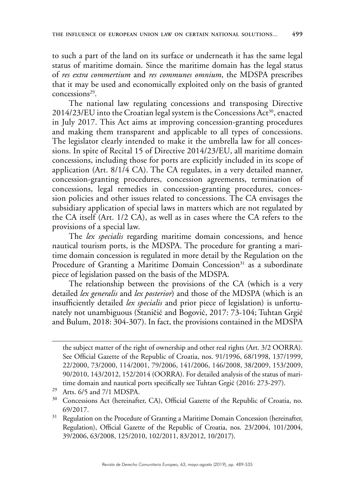to such a part of the land on its surface or underneath it has the same legal status of maritime domain. Since the maritime domain has the legal status of *res extra commertium* and *res communes omnium*, the MDSPA prescribes that it may be used and economically exploited only on the basis of granted concessions29.

The national law regulating concessions and transposing Directive  $2014/23/EU$  into the Croatian legal system is the Concessions Act<sup>30</sup>, enacted in July 2017. This Act aims at improving concession-granting procedures and making them transparent and applicable to all types of concessions. The legislator clearly intended to make it the umbrella law for all concessions. In spite of Recital 15 of Directive 2014/23/EU, all maritime domain concessions, including those for ports are explicitly included in its scope of application (Art. 8/1/4 CA). The CA regulates, in a very detailed manner, concession-granting procedures, concession agreements, termination of concessions, legal remedies in concession-granting procedures, concession policies and other issues related to concessions. The CA envisages the subsidiary application of special laws in matters which are not regulated by the CA itself (Art. 1/2 CA), as well as in cases where the CA refers to the provisions of a special law.

The *lex specialis* regarding maritime domain concessions, and hence nautical tourism ports, is the MDSPA. The procedure for granting a maritime domain concession is regulated in more detail by the Regulation on the Procedure of Granting a Maritime Domain Concession<sup>31</sup> as a subordinate piece of legislation passed on the basis of the MDSPA.

The relationship between the provisions of the CA (which is a very detailed *lex generalis* and *lex posterior*) and those of the MDSPA (which is an insufficiently detailed *lex specialis* and prior piece of legislation) is unfortunately not unambiguous (Staničić and Bogović, 2017: 73-104; Tuhtan Grgić and Bulum, 2018: 304-307). In fact, the provisions contained in the MDSPA

the subject matter of the right of ownership and other real rights (Art. 3/2 OORRA). See Official Gazette of the Republic of Croatia, nos. 91/1996, 68/1998, 137/1999, 22/2000, 73/2000, 114/2001, 79/2006, 141/2006, 146/2008, 38/2009, 153/2009, 90/2010, 143/2012, 152/2014 (OORRA). For detailed analysis of the status of maritime domain and nautical ports specifically see Tuhtan Grgić (2016: 273-297).

<sup>29</sup> Arts. 6/5 and 7/1 MDSPA.

<sup>&</sup>lt;sup>30</sup> Concessions Act (hereinafter, CA), Official Gazette of the Republic of Croatia, no. 69/2017.

<sup>&</sup>lt;sup>31</sup> Regulation on the Procedure of Granting a Maritime Domain Concession (hereinafter, Regulation), Official Gazette of the Republic of Croatia, nos. 23/2004, 101/2004, 39/2006, 63/2008, 125/2010, 102/2011, 83/2012, 10/2017).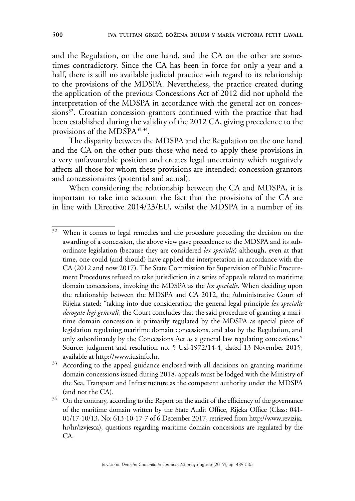and the Regulation, on the one hand, and the CA on the other are sometimes contradictory. Since the CA has been in force for only a year and a half, there is still no available judicial practice with regard to its relationship to the provisions of the MDSPA. Nevertheless, the practice created during the application of the previous Concessions Act of 2012 did not uphold the interpretation of the MDSPA in accordance with the general act on concessions<sup>32</sup>. Croatian concession grantors continued with the practice that had been established during the validity of the 2012 CA, giving precedence to the provisions of the MDSPA33,34.

The disparity between the MDSPA and the Regulation on the one hand and the CA on the other puts those who need to apply these provisions in a very unfavourable position and creates legal uncertainty which negatively affects all those for whom these provisions are intended: concession grantors and concessionaires (potential and actual).

When considering the relationship between the CA and MDSPA, it is important to take into account the fact that the provisions of the CA are in line with Directive 2014/23/EU, whilst the MDSPA in a number of its

<sup>&</sup>lt;sup>32</sup> When it comes to legal remedies and the procedure preceding the decision on the awarding of a concession, the above view gave precedence to the MDSPA and its subordinate legislation (because they are considered *lex specialis*) although, even at that time, one could (and should) have applied the interpretation in accordance with the CA (2012 and now 2017). The State Commission for Supervision of Public Procurement Procedures refused to take jurisdiction in a series of appeals related to maritime domain concessions, invoking the MDSPA as the *lex specialis*. When deciding upon the relationship between the MDSPA and CA 2012, the Administrative Court of Rijeka stated: "taking into due consideration the general legal principle *lex specialis derogate legi generali*, the Court concludes that the said procedure of granting a maritime domain concession is primarily regulated by the MDSPA as special piece of legislation regulating maritime domain concessions, and also by the Regulation, and only subordinately by the Concessions Act as a general law regulating concessions." Source: judgment and resolution no. 5 Usl-1972/14-4, dated 13 November 2015, available at [http://www.iusinfo.hr.](http://www.iusinfo.hr)

<sup>&</sup>lt;sup>33</sup> According to the appeal guidance enclosed with all decisions on granting maritime domain concessions issued during 2018, appeals must be lodged with the Ministry of the Sea, Transport and Infrastructure as the competent authority under the MDSPA (and not the CA).

 $34$  On the contrary, according to the Report on the audit of the efficiency of the governance of the maritime domain written by the State Audit Office, Rijeka Office (Class: 041- 01/17-10/13, No: 613-10-17-7 of 6 December 2017, retrieved from [http://www.revizija.](http://www.revizija.hr/hr/izvjesca) [hr/hr/izvjesca](http://www.revizija.hr/hr/izvjesca)), questions regarding maritime domain concessions are regulated by the CA.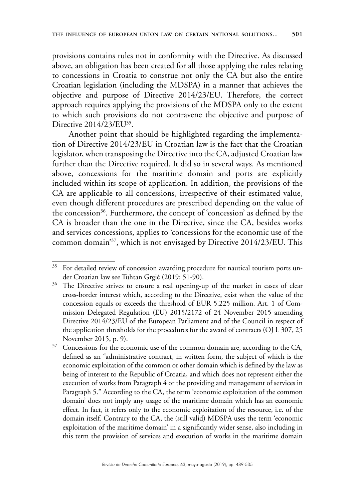provisions contains rules not in conformity with the Directive. As discussed above, an obligation has been created for all those applying the rules relating to concessions in Croatia to construe not only the CA but also the entire Croatian legislation (including the MDSPA) in a manner that achieves the objective and purpose of Directive 2014/23/EU. Therefore, the correct approach requires applying the provisions of the MDSPA only to the extent to which such provisions do not contravene the objective and purpose of Directive 2014/23/EU<sup>35</sup>.

Another point that should be highlighted regarding the implementation of Directive 2014/23/EU in Croatian law is the fact that the Croatian legislator, when transposing the Directive into the CA, adjusted Croatian law further than the Directive required. It did so in several ways. As mentioned above, concessions for the maritime domain and ports are explicitly included within its scope of application. In addition, the provisions of the CA are applicable to all concessions, irrespective of their estimated value, even though different procedures are prescribed depending on the value of the concession<sup>36</sup>. Furthermore, the concept of 'concession' as defined by the CA is broader than the one in the Directive, since the CA, besides works and services concessions, applies to 'concessions for the economic use of the common domain'37, which is not envisaged by Directive 2014/23/EU. This

<sup>&</sup>lt;sup>35</sup> For detailed review of concession awarding procedure for nautical tourism ports under Croatian law see Tuhtan Grgić (2019: 51-90).

<sup>&</sup>lt;sup>36</sup> The Directive strives to ensure a real opening-up of the market in cases of clear cross-border interest which, according to the Directive, exist when the value of the concession equals or exceeds the threshold of EUR 5.225 million. Art. 1 of Commission Delegated Regulation (EU) 2015/2172 of 24 November 2015 amending Directive 2014/23/EU of the European Parliament and of the Council in respect of the application thresholds for the procedures for the award of contracts (OJ L 307, 25 November 2015, p. 9).

<sup>&</sup>lt;sup>37</sup> Concessions for the economic use of the common domain are, according to the CA, defined as an "administrative contract, in written form, the subject of which is the economic exploitation of the common or other domain which is defined by the law as being of interest to the Republic of Croatia, and which does not represent either the execution of works from Paragraph 4 or the providing and management of services in Paragraph 5." According to the CA, the term 'economic exploitation of the common domain' does not imply any usage of the maritime domain which has an economic effect. In fact, it refers only to the economic exploitation of the resource, i.e. of the domain itself. Contrary to the CA, the (still valid) MDSPA uses the term 'economic exploitation of the maritime domain' in a significantly wider sense, also including in this term the provision of services and execution of works in the maritime domain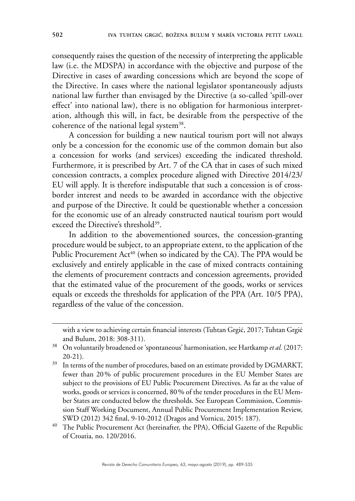consequently raises the question of the necessity of interpreting the applicable law (i.e. the MDSPA) in accordance with the objective and purpose of the Directive in cases of awarding concessions which are beyond the scope of the Directive. In cases where the national legislator spontaneously adjusts national law further than envisaged by the Directive (a so-called 'spill-over effect' into national law), there is no obligation for harmonious interpretation, although this will, in fact, be desirable from the perspective of the coherence of the national legal system<sup>38</sup>.

A concession for building a new nautical tourism port will not always only be a concession for the economic use of the common domain but also a concession for works (and services) exceeding the indicated threshold. Furthermore, it is prescribed by Art. 7 of the CA that in cases of such mixed concession contracts, a complex procedure aligned with Directive 2014/23/ EU will apply. It is therefore indisputable that such a concession is of crossborder interest and needs to be awarded in accordance with the objective and purpose of the Directive. It could be questionable whether a concession for the economic use of an already constructed nautical tourism port would exceed the Directive's threshold<sup>39</sup>.

In addition to the abovementioned sources, the concession-granting procedure would be subject, to an appropriate extent, to the application of the Public Procurement Act<sup>40</sup> (when so indicated by the CA). The PPA would be exclusively and entirely applicable in the case of mixed contracts containing the elements of procurement contracts and concession agreements, provided that the estimated value of the procurement of the goods, works or services equals or exceeds the thresholds for application of the PPA (Art. 10/5 PPA), regardless of the value of the concession.

with a view to achieving certain financial interests (Tuhtan Grgić, 2017; Tuhtan Grgić and Bulum, 2018: 308-311).

<sup>38</sup> On voluntarily broadened or 'spontaneous' harmonisation, see Hartkamp *et al.* (2017: 20-21).

<sup>&</sup>lt;sup>39</sup> In terms of the number of procedures, based on an estimate provided by DGMARKT, fewer than 20% of public procurement procedures in the EU Member States are subject to the provisions of EU Public Procurement Directives. As far as the value of works, goods or services is concerned, 80% of the tender procedures in the EU Member States are conducted below the thresholds. See European Commission, Commission Staff Working Document, Annual Public Procurement Implementation Review, SWD (2012) 342 final, 9-10-2012 (Dragos and Vornicu, 2015: 187).

The Public Procurement Act (hereinafter, the PPA), Official Gazette of the Republic of Croatia, no. 120/2016.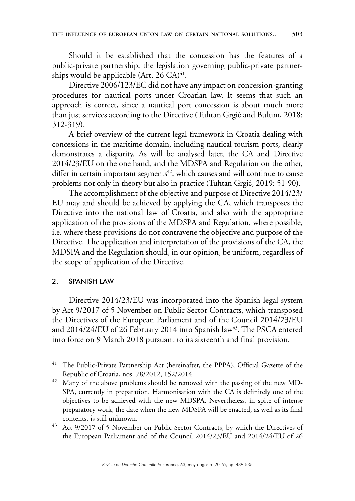Should it be established that the concession has the features of a public-private partnership, the legislation governing public-private partnerships would be applicable (Art.  $26$  CA)<sup>41</sup>.

Directive 2006/123/EC did not have any impact on concession-granting procedures for nautical ports under Croatian law. It seems that such an approach is correct, since a nautical port concession is about much more than just services according to the Directive (Tuhtan Grgić and Bulum, 2018: 312-319).

A brief overview of the current legal framework in Croatia dealing with concessions in the maritime domain, including nautical tourism ports, clearly demonstrates a disparity. As will be analysed later, the CA and Directive 2014/23/EU on the one hand, and the MDSPA and Regulation on the other, differ in certain important segments $42$ , which causes and will continue to cause problems not only in theory but also in practice (Tuhtan Grgić, 2019: 51-90).

The accomplishment of the objective and purpose of Directive 2014/23/ EU may and should be achieved by applying the CA, which transposes the Directive into the national law of Croatia, and also with the appropriate application of the provisions of the MDSPA and Regulation, where possible, i.e. where these provisions do not contravene the objective and purpose of the Directive. The application and interpretation of the provisions of the CA, the MDSPA and the Regulation should, in our opinion, be uniform, regardless of the scope of application of the Directive.

### 2. SPANISH LAW

Directive 2014/23/EU was incorporated into the Spanish legal system by Act 9/2017 of 5 November on Public Sector Contracts, which transposed the Directives of the European Parliament and of the Council 2014/23/EU and 2014/24/EU of 26 February 2014 into Spanish law<sup>43</sup>. The PSCA entered into force on 9 March 2018 pursuant to its sixteenth and final provision.

<sup>41</sup> The Public-Private Partnership Act (hereinafter, the PPPA), Official Gazette of the Republic of Croatia, nos. 78/2012, 152/2014.

<sup>&</sup>lt;sup>42</sup> Many of the above problems should be removed with the passing of the new MD-SPA, currently in preparation. Harmonisation with the CA is definitely one of the objectives to be achieved with the new MDSPA. Nevertheless, in spite of intense preparatory work, the date when the new MDSPA will be enacted, as well as its final contents, is still unknown.

<sup>&</sup>lt;sup>43</sup> Act 9/2017 of 5 November on Public Sector Contracts, by which the Directives of the European Parliament and of the Council 2014/23/EU and 2014/24/EU of 26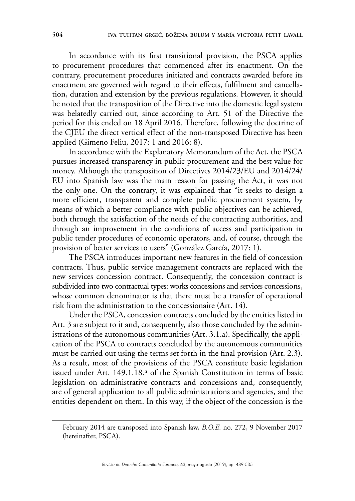In accordance with its first transitional provision, the PSCA applies to procurement procedures that commenced after its enactment. On the contrary, procurement procedures initiated and contracts awarded before its enactment are governed with regard to their effects, fulfilment and cancellation, duration and extension by the previous regulations. However, it should be noted that the transposition of the Directive into the domestic legal system was belatedly carried out, since according to Art. 51 of the Directive the period for this ended on 18 April 2016. Therefore, following the doctrine of the CJEU the direct vertical effect of the non-transposed Directive has been applied (Gimeno Feliu, 2017: 1 and 2016: 8).

In accordance with the Explanatory Memorandum of the Act, the PSCA pursues increased transparency in public procurement and the best value for money. Although the transposition of Directives 2014/23/EU and 2014/24/ EU into Spanish law was the main reason for passing the Act, it was not the only one. On the contrary, it was explained that "it seeks to design a more efficient, transparent and complete public procurement system, by means of which a better compliance with public objectives can be achieved, both through the satisfaction of the needs of the contracting authorities, and through an improvement in the conditions of access and participation in public tender procedures of economic operators, and, of course, through the provision of better services to users" (González García, 2017: 1).

The PSCA introduces important new features in the field of concession contracts. Thus, public service management contracts are replaced with the new services concession contract. Consequently, the concession contract is subdivided into two contractual types: works concessions and services concessions, whose common denominator is that there must be a transfer of operational risk from the administration to the concessionaire (Art. 14).

Under the PSCA, concession contracts concluded by the entities listed in Art. 3 are subject to it and, consequently, also those concluded by the administrations of the autonomous communities (Art. 3.1.a). Specifically, the application of the PSCA to contracts concluded by the autonomous communities must be carried out using the terms set forth in the final provision (Art. 2.3). As a result, most of the provisions of the PSCA constitute basic legislation issued under Art. 149.1.18.ª of the Spanish Constitution in terms of basic legislation on administrative contracts and concessions and, consequently, are of general application to all public administrations and agencies, and the entities dependent on them. In this way, if the object of the concession is the

February 2014 are transposed into Spanish law, *B.O.E*. no. 272, 9 November 2017 (hereinafter, PSCA).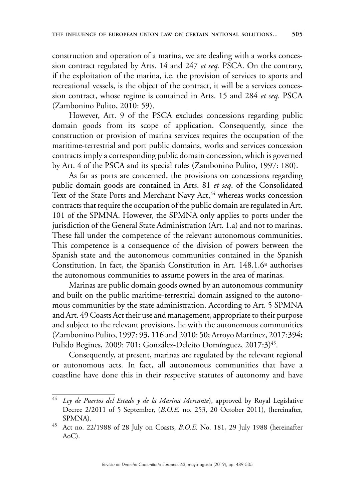construction and operation of a marina, we are dealing with a works concession contract regulated by Arts. 14 and 247 *et seq.* PSCA. On the contrary, if the exploitation of the marina, i.e. the provision of services to sports and recreational vessels, is the object of the contract, it will be a services concession contract, whose regime is contained in Arts. 15 and 284 *et seq.* PSCA (Zambonino Pulito, 2010: 59).

However, Art. 9 of the PSCA excludes concessions regarding public domain goods from its scope of application. Consequently, since the construction or provision of marina services requires the occupation of the maritime-terrestrial and port public domains, works and services concession contracts imply a corresponding public domain concession, which is governed by Art. 4 of the PSCA and its special rules (Zambonino Pulito, 1997: 180).

As far as ports are concerned, the provisions on concessions regarding public domain goods are contained in Arts. 81 *et seq*. of the Consolidated Text of the State Ports and Merchant Navy Act,<sup>44</sup> whereas works concession contracts that require the occupation of the public domain are regulated in Art. 101 of the SPMNA. However, the SPMNA only applies to ports under the jurisdiction of the General State Administration (Art. 1.a) and not to marinas. These fall under the competence of the relevant autonomous communities. This competence is a consequence of the division of powers between the Spanish state and the autonomous communities contained in the Spanish Constitution. In fact, the Spanish Constitution in Art. 148.1.6ª authorises the autonomous communities to assume powers in the area of marinas.

Marinas are public domain goods owned by an autonomous community and built on the public maritime-terrestrial domain assigned to the autonomous communities by the state administration. According to Art. 5 SPMNA and Art. 49 Coasts Act their use and management, appropriate to their purpose and subject to the relevant provisions, lie with the autonomous communities (Zambonino Pulito, 1997: 93, 116 and 2010: 50; Arroyo Martínez, 2017:394; Pulido Begines, 2009: 701; González-Deleito Domínguez, 2017:3)<sup>45</sup>.

Consequently, at present, marinas are regulated by the relevant regional or autonomous acts. In fact, all autonomous communities that have a coastline have done this in their respective statutes of autonomy and have

<sup>44</sup> *Ley de Puertos del Estado y de la Marina Mercante*), approved by Royal Legislative Decree 2/2011 of 5 September, (*B.O.E.* no. 253, 20 October 2011), (hereinafter, SPMNA).

<sup>45</sup> Act no. 22/1988 of 28 July on Coasts, *B.O.E.* No. 181, 29 July 1988 (hereinafter AoC).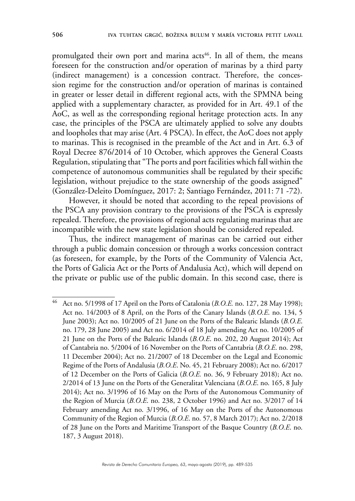promulgated their own port and marina acts<sup>46</sup>. In all of them, the means foreseen for the construction and/or operation of marinas by a third party (indirect management) is a concession contract. Therefore, the concession regime for the construction and/or operation of marinas is contained in greater or lesser detail in different regional acts, with the SPMNA being applied with a supplementary character, as provided for in Art. 49.1 of the AoC, as well as the corresponding regional heritage protection acts. In any case, the principles of the PSCA are ultimately applied to solve any doubts and loopholes that may arise (Art. 4 PSCA). In effect, the AoC does not apply to marinas. This is recognised in the preamble of the Act and in Art. 6.3 of Royal Decree 876/2014 of 10 October, which approves the General Coasts Regulation, stipulating that "The ports and port facilities which fall within the competence of autonomous communities shall be regulated by their specific legislation, without prejudice to the state ownership of the goods assigned" (González-Deleito Domínguez, 2017: 2; Santiago Fernández, 2011: 71 -72).

However, it should be noted that according to the repeal provisions of the PSCA any provision contrary to the provisions of the PSCA is expressly repealed. Therefore, the provisions of regional acts regulating marinas that are incompatible with the new state legislation should be considered repealed.

Thus, the indirect management of marinas can be carried out either through a public domain concession or through a works concession contract (as foreseen, for example, by the Ports of the Community of Valencia Act, the Ports of Galicia Act or the Ports of Andalusia Act), which will depend on the private or public use of the public domain. In this second case, there is

<sup>46</sup> Act no. 5/1998 of 17 April on the Ports of Catalonia (*B.O.E.* no. 127, 28 May 1998); Act no. 14/2003 of 8 April, on the Ports of the Canary Islands (*B.O.E*. no. 134, 5 June 2003); Act no. 10/2005 of 21 June on the Ports of the Balearic Islands (*B.O.E*. no. 179, 28 June 2005) and Act no. 6/2014 of 18 July amending Act no. 10/2005 of 21 June on the Ports of the Balearic Islands (*B.O.E*. no. 202, 20 August 2014); Act of Cantabria no. 5/2004 of 16 November on the Ports of Cantabria (*B.O.E*. no. 298, 11 December 2004); Act no. 21/2007 of 18 December on the Legal and Economic Regime of the Ports of Andalusia (*B.O.E*. No. 45, 21 February 2008); Act no. 6/2017 of 12 December on the Ports of Galicia (*B.O.E.* no. 36, 9 February 2018); Act no. 2/2014 of 13 June on the Ports of the Generalitat Valenciana (*B.O.E*. no. 165, 8 July 2014); Act no. 3/1996 of 16 May on the Ports of the Autonomous Community of the Region of Murcia (*B.O.E*. no. 238, 2 October 1996) and Act no. 3/2017 of 14 February amending Act no. 3/1996, of 16 May on the Ports of the Autonomous Community of the Region of Murcia (*B.O.E*. no. 57, 8 March 2017); Act no. 2/2018 of 28 June on the Ports and Maritime Transport of the Basque Country (*B.O.E*. no. 187, 3 August 2018).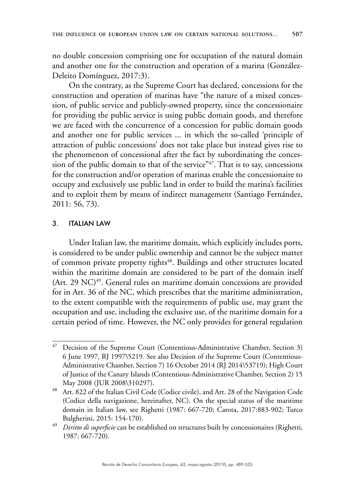no double concession comprising one for occupation of the natural domain and another one for the construction and operation of a marina (González-Deleito Domínguez, 2017:3).

On the contrary, as the Supreme Court has declared, concessions for the construction and operation of marinas have "the nature of a mixed concession, of public service and publicly-owned property, since the concessionaire for providing the public service is using public domain goods, and therefore we are faced with the concurrence of a concession for public domain goods and another one for public services ... in which the so-called 'principle of attraction of public concessions' does not take place but instead gives rise to the phenomenon of concessional after the fact by subordinating the concession of the public domain to that of the service" $47$ . That is to say, concessions for the construction and/or operation of marinas enable the concessionaire to occupy and exclusively use public land in order to build the marina's facilities and to exploit them by means of indirect management (Santiago Fernández, 2011: 56, 73).

### 3. ITALIAN LAW

Under Italian law, the maritime domain, which explicitly includes ports, is considered to be under public ownership and cannot be the subject matter of common private property rights<sup>48</sup>. Buildings and other structures located within the maritime domain are considered to be part of the domain itself (Art. 29 NC)<sup>49</sup>. General rules on maritime domain concessions are provided for in Art. 36 of the NC, which prescribes that the maritime administration, to the extent compatible with the requirements of public use, may grant the occupation and use, including the exclusive use, of the maritime domain for a certain period of time. However, the NC only provides for general regulation

Decision of the Supreme Court (Contentious-Administrative Chamber, Section 3) 6 June 1997, RJ 1997\5219. See also Decision of the Supreme Court (Contentious-Administrative Chamber, Section 7) 16 October 2014 (RJ 2014\53719); High Court of Justice of the Canary Islands (Contentious-Administrative Chamber, Section 2) 15 May 2008 (JUR 2008\310297).

<sup>48</sup> Art. 822 of the Italian Civil Code (Codice civile), and Art. 28 of the Navigation Code (Codice della navigazione, hereinafter, NC). On the special status of the maritime domain in Italian law, see Righetti (1987: 667-720; Carota, 2017:883-902; Turco Bulgherini, 2015: 154-170).

<sup>49</sup> *Diritto di superficie* can be established on structures built by concessionaires (Righetti, 1987: 667-720).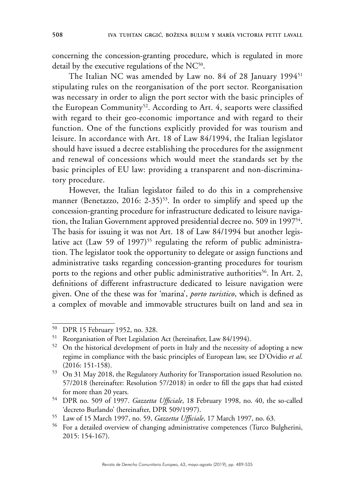concerning the concession-granting procedure, which is regulated in more detail by the executive regulations of the NC<sup>50</sup>.

The Italian NC was amended by Law no. 84 of 28 January 1994<sup>51</sup> stipulating rules on the reorganisation of the port sector. Reorganisation was necessary in order to align the port sector with the basic principles of the European Community<sup>52</sup>. According to Art. 4, seaports were classified with regard to their geo-economic importance and with regard to their function. One of the functions explicitly provided for was tourism and leisure. In accordance with Art. 18 of Law 84/1994, the Italian legislator should have issued a decree establishing the procedures for the assignment and renewal of concessions which would meet the standards set by the basic principles of EU law: providing a transparent and non-discriminatory procedure.

However, the Italian legislator failed to do this in a comprehensive manner (Benetazzo, 2016: 2-35)<sup>53</sup>. In order to simplify and speed up the concession-granting procedure for infrastructure dedicated to leisure navigation, the Italian Government approved presidential decree no. 509 in 199754. The basis for issuing it was not Art. 18 of Law 84/1994 but another legislative act (Law 59 of 1997)<sup>55</sup> regulating the reform of public administration. The legislator took the opportunity to delegate or assign functions and administrative tasks regarding concession-granting procedures for tourism ports to the regions and other public administrative authorities<sup>56</sup>. In Art. 2, definitions of different infrastructure dedicated to leisure navigation were given. One of the these was for 'marina', *porto turistico*, which is defined as a complex of movable and immovable structures built on land and sea in

<sup>50</sup> DPR 15 February 1952, no. 328.

<sup>51</sup> Reorganisation of Port Legislation Act (hereinafter, Law 84/1994).

<sup>&</sup>lt;sup>52</sup> On the historical development of ports in Italy and the necessity of adopting a new regime in compliance with the basic principles of European law, see D'Ovidio *et al*. (2016: 151-158).

<sup>53</sup> On 31 May 2018, the Regulatory Authority for Transportation issued Resolution no. 57/2018 (hereinafter: Resolution 57/2018) in order to fill the gaps that had existed for more than 20 years.

<sup>54</sup> DPR no. 509 of 1997. *Gazzetta Ufficiale*, 18 February 1998, no. 40, the so-called 'decreto Burlando' (hereinafter, DPR 509/1997).

<sup>55</sup> Law of 15 March 1997, no. 59, *Gazzetta Ufficiale*, 17 March 1997, no. 63.

<sup>56</sup> For a detailed overview of changing administrative competences (Turco Bulgherini, 2015: 154-167).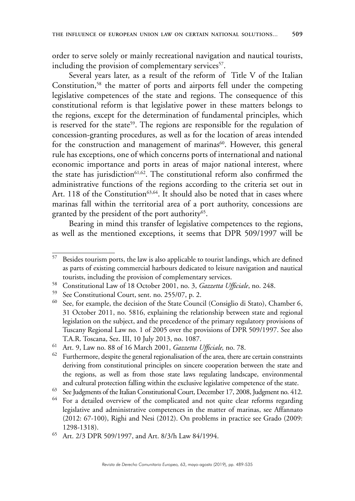order to serve solely or mainly recreational navigation and nautical tourists, including the provision of complementary services<sup>57</sup>.

Several years later, as a result of the reform of Title V of the Italian Constitution,<sup>58</sup> the matter of ports and airports fell under the competing legislative competences of the state and regions. The consequence of this constitutional reform is that legislative power in these matters belongs to the regions, except for the determination of fundamental principles, which is reserved for the state<sup>59</sup>. The regions are responsible for the regulation of concession-granting procedures, as well as for the location of areas intended for the construction and management of marinas<sup>60</sup>. However, this general rule has exceptions, one of which concerns ports of international and national economic importance and ports in areas of major national interest, where the state has jurisdiction<sup>61,62</sup>. The constitutional reform also confirmed the administrative functions of the regions according to the criteria set out in Art. 118 of the Constitution<sup>63,64</sup>. It should also be noted that in cases where marinas fall within the territorial area of a port authority, concessions are granted by the president of the port authority<sup>65</sup>.

Bearing in mind this transfer of legislative competences to the regions, as well as the mentioned exceptions, it seems that DPR 509/1997 will be

<sup>57</sup> Besides tourism ports, the law is also applicable to tourist landings, which are defined as parts of existing commercial harbours dedicated to leisure navigation and nautical tourists, including the provision of complementary services.

<sup>58</sup> Constitutional Law of 18 October 2001, no. 3, *Gazzetta Ufficiale*, no. 248.

<sup>&</sup>lt;sup>59</sup> See Constitutional Court, sent. no. 255/07, p. 2.<br><sup>60</sup> See for example, the decision of the State Council

See, for example, the decision of the State Council (Consiglio di Stato), Chamber 6, 31 October 2011, no. 5816, explaining the relationship between state and regional legislation on the subject, and the precedence of the primary regulatory provisions of Tuscany Regional Law no. 1 of 2005 over the provisions of DPR 509/1997. See also T.A.R. Toscana, Sez. III, 10 July 2013, no. 1087.

<sup>61</sup> Art. 9, Law no. 88 of 16 March 2001, *Gazzetta Ufficiale,* no. 78.

Furthermore, despite the general regionalisation of the area, there are certain constraints deriving from constitutional principles on sincere cooperation between the state and the regions, as well as from those state laws regulating landscape, environmental and cultural protection falling within the exclusive legislative competence of the state.

<sup>63</sup> See Judgments of the Italian Constitutional Court, December 17, 2008, Judgment no. 412.

<sup>&</sup>lt;sup>64</sup> For a detailed overview of the complicated and not quite clear reforms regarding legislative and administrative competences in the matter of marinas, see Affannato (2012: 67-100), Righi and Nesi (2012). On problems in practice see Grado (2009: 1298-1318).

<sup>65</sup> Art. 2/3 DPR 509/1997, and Art. 8/3/h Law 84/1994.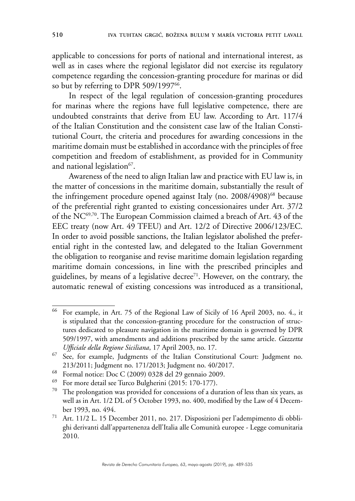applicable to concessions for ports of national and international interest, as well as in cases where the regional legislator did not exercise its regulatory competence regarding the concession-granting procedure for marinas or did so but by referring to DPR 509/1997<sup>66</sup>.

In respect of the legal regulation of concession-granting procedures for marinas where the regions have full legislative competence, there are undoubted constraints that derive from EU law. According to Art. 117/4 of the Italian Constitution and the consistent case law of the Italian Constitutional Court, the criteria and procedures for awarding concessions in the maritime domain must be established in accordance with the principles of free competition and freedom of establishment, as provided for in Community and national legislation<sup>67</sup>.

Awareness of the need to align Italian law and practice with EU law is, in the matter of concessions in the maritime domain, substantially the result of the infringement procedure opened against Italy (no. 2008/4908)<sup>68</sup> because of the preferential right granted to existing concessionaires under Art. 37/2 of the NC69,70. The European Commission claimed a breach of Art. 43 of the EEC treaty (now Art. 49 TFEU) and Art. 12/2 of Directive 2006/123/EC. In order to avoid possible sanctions, the Italian legislator abolished the preferential right in the contested law, and delegated to the Italian Government the obligation to reorganise and revise maritime domain legislation regarding maritime domain concessions, in line with the prescribed principles and guidelines, by means of a legislative decree<sup> $71$ </sup>. However, on the contrary, the automatic renewal of existing concessions was introduced as a transitional,

<sup>66</sup> For example, in Art. 75 of the Regional Law of Sicily of 16 April 2003, no. 4., it is stipulated that the concession-granting procedure for the construction of structures dedicated to pleasure navigation in the maritime domain is governed by DPR 509/1997, with amendments and additions prescribed by the same article. *Gazzetta Ufficiale della Regione Siciliana*, 17 April 2003, no. 17.

<sup>67</sup> See, for example, Judgments of the Italian Constitutional Court: Judgment no. 213/2011; Judgment no. 171/2013; Judgment no. 40/2017.

<sup>68</sup> Formal notice: Doc C (2009) 0328 del 29 gennaio 2009.

<sup>69</sup> For more detail see Turco Bulgherini (2015: 170-177).

 $70$  The prolongation was provided for concessions of a duration of less than six years, as well as in Art. 1/2 DL of 5 October 1993, no. 400, modified by the Law of 4 December 1993, no. 494.

<sup>71</sup> Art. 11/2 L. 15 December 2011, no. 217. Disposizioni per l'adempimento di obblighi derivanti dall'appartenenza dell'Italia alle Comunità europee - Legge comunitaria 2010.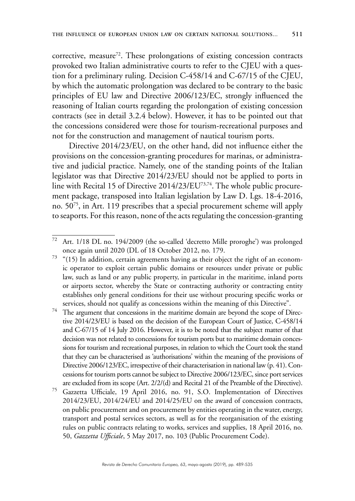corrective, measure<sup>72</sup>. These prolongations of existing concession contracts provoked two Italian administrative courts to refer to the CJEU with a question for a preliminary ruling. Decision C-458/14 and C-67/15 of the CJEU, by which the automatic prolongation was declared to be contrary to the basic principles of EU law and Directive 2006/123/EC, strongly influenced the reasoning of Italian courts regarding the prolongation of existing concession contracts (see in detail 3.2.4 below). However, it has to be pointed out that the concessions considered were those for tourism-recreational purposes and not for the construction and management of nautical tourism ports.

Directive 2014/23/EU, on the other hand, did not influence either the provisions on the concession-granting procedures for marinas, or administrative and judicial practice. Namely, one of the standing points of the Italian legislator was that Directive 2014/23/EU should not be applied to ports in line with Recital 15 of Directive 2014/23/EU<sup>73,74</sup>. The whole public procurement package, transposed into Italian legislation by Law D. Lgs. 18-4-2016, no. 5075, in Art. 119 prescribes that a special procurement scheme will apply to seaports. For this reason, none of the acts regulating the concession-granting

<sup>74</sup> The argument that concessions in the maritime domain are beyond the scope of Directive 2014/23/EU is based on the decision of the European Court of Justice, C-458/14 and C-67/15 of 14 July 2016. However, it is to be noted that the subject matter of that decision was not related to concessions for tourism ports but to maritime domain concessions for tourism and recreational purposes, in relation to which the Court took the stand that they can be characterised as 'authorisations' within the meaning of the provisions of Directive 2006/123/EC, irrespective of their characterisation in national law (p. 41). Concessions for tourism ports cannot be subject to Directive 2006/123/EC, since port services are excluded from its scope (Art. 2/2/(d) and Recital 21 of the Preamble of the Directive).

<sup>75</sup> Gazzetta Ufficiale, 19 April 2016, no. 91, S.O. Implementation of Directives 2014/23/EU, 2014/24/EU and 2014/25/EU on the award of concession contracts, on public procurement and on procurement by entities operating in the water, energy, transport and postal services sectors, as well as for the reorganisation of the existing rules on public contracts relating to works, services and supplies, 18 April 2016, no. 50, *Gazzetta Ufficiale*, 5 May 2017, no. 103 (Public Procurement Code).

<sup>72</sup> Art. 1/18 DL no. 194/2009 (the so-called 'decretto Mille proroghe') was prolonged once again until 2020 (DL of 18 October 2012, no. 179.

 $73$  "(15) In addition, certain agreements having as their object the right of an economic operator to exploit certain public domains or resources under private or public law, such as land or any public property, in particular in the maritime, inland ports or airports sector, whereby the State or contracting authority or contracting entity establishes only general conditions for their use without procuring specific works or services, should not qualify as concessions within the meaning of this Directive".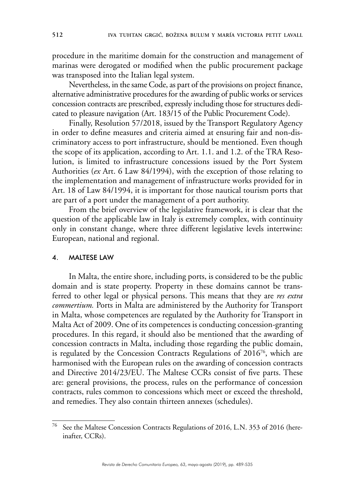procedure in the maritime domain for the construction and management of marinas were derogated or modified when the public procurement package was transposed into the Italian legal system.

Nevertheless, in the same Code, as part of the provisions on project finance, alternative administrative procedures for the awarding of public works or services concession contracts are prescribed, expressly including those for structures dedicated to pleasure navigation (Art. 183/15 of the Public Procurement Code).

Finally, Resolution 57/2018, issued by the Transport Regulatory Agency in order to define measures and criteria aimed at ensuring fair and non-discriminatory access to port infrastructure, should be mentioned. Even though the scope of its application, according to Art. 1.1. and 1.2. of the TRA Resolution, is limited to infrastructure concessions issued by the Port System Authorities (*ex* Art. 6 Law 84/1994), with the exception of those relating to the implementation and management of infrastructure works provided for in Art. 18 of Law 84/1994, it is important for those nautical tourism ports that are part of a port under the management of a port authority.

From the brief overview of the legislative framework, it is clear that the question of the applicable law in Italy is extremely complex, with continuity only in constant change, where three different legislative levels intertwine: European, national and regional.

#### 4. MALTESE LAW

In Malta, the entire shore, including ports, is considered to be the public domain and is state property. Property in these domains cannot be transferred to other legal or physical persons. This means that they are *res extra commertium.* Ports in Malta are administered by the Authority for Transport in Malta, whose competences are regulated by the Authority for Transport in Malta Act of 2009. One of its competences is conducting concession-granting procedures. In this regard, it should also be mentioned that the awarding of concession contracts in Malta, including those regarding the public domain, is regulated by the Concession Contracts Regulations of 201676, which are harmonised with the European rules on the awarding of concession contracts and Directive 2014/23/EU. The Maltese CCRs consist of five parts. These are: general provisions, the process, rules on the performance of concession contracts, rules common to concessions which meet or exceed the threshold, and remedies. They also contain thirteen annexes (schedules).

<sup>76</sup> See the Maltese Concession Contracts Regulations of 2016, L.N. 353 of 2016 (hereinafter, CCRs).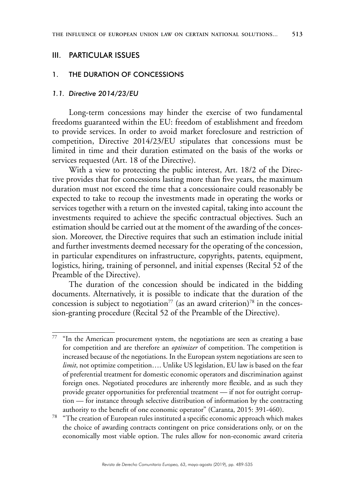#### III. PARTICULAR ISSUES

#### 1. THE DURATION OF CONCESSIONS

#### *1.1. Directive 2014/23/EU*

Long-term concessions may hinder the exercise of two fundamental freedoms guaranteed within the EU: freedom of establishment and freedom to provide services. In order to avoid market foreclosure and restriction of competition, Directive 2014/23/EU stipulates that concessions must be limited in time and their duration estimated on the basis of the works or services requested (Art. 18 of the Directive).

With a view to protecting the public interest, Art. 18/2 of the Directive provides that for concessions lasting more than five years, the maximum duration must not exceed the time that a concessionaire could reasonably be expected to take to recoup the investments made in operating the works or services together with a return on the invested capital, taking into account the investments required to achieve the specific contractual objectives. Such an estimation should be carried out at the moment of the awarding of the concession. Moreover, the Directive requires that such an estimation include initial and further investments deemed necessary for the operating of the concession, in particular expenditures on infrastructure, copyrights, patents, equipment, logistics, hiring, training of personnel, and initial expenses (Recital 52 of the Preamble of the Directive).

The duration of the concession should be indicated in the bidding documents. Alternatively, it is possible to indicate that the duration of the concession is subject to negotiation<sup>77</sup> (as an award criterion)<sup>78</sup> in the concession-granting procedure (Recital 52 of the Preamble of the Directive).

 $77$  "In the American procurement system, the negotiations are seen as creating a base for competition and are therefore an *optimizer* of competition. The competition is increased because of the negotiations. In the European system negotiations are seen to *limit*, not optimize competition…. Unlike US legislation, EU law is based on the fear of preferential treatment for domestic economic operators and discrimination against foreign ones. Negotiated procedures are inherently more flexible, and as such they provide greater opportunities for preferential treatment — if not for outright corruption — for instance through selective distribution of information by the contracting authority to the benefit of one economic operator" (Caranta, 2015: 391-460).

<sup>78</sup> "The creation of European rules instituted a specific economic approach which makes the choice of awarding contracts contingent on price considerations only, or on the economically most viable option. The rules allow for non-economic award criteria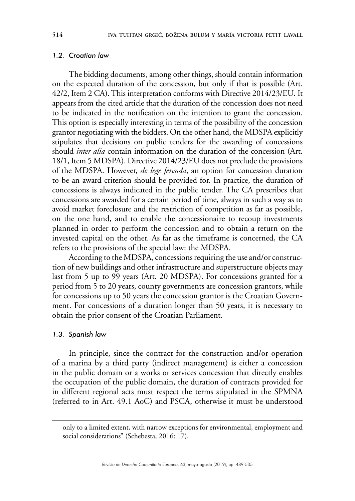#### *1.2. Croatian law*

The bidding documents, among other things, should contain information on the expected duration of the concession, but only if that is possible (Art. 42/2, Item 2 CA). This interpretation conforms with Directive 2014/23/EU. It appears from the cited article that the duration of the concession does not need to be indicated in the notification on the intention to grant the concession. This option is especially interesting in terms of the possibility of the concession grantor negotiating with the bidders. On the other hand, the MDSPA explicitly stipulates that decisions on public tenders for the awarding of concessions should *inter alia* contain information on the duration of the concession (Art. 18/1, Item 5 MDSPA). Directive 2014/23/EU does not preclude the provisions of the MDSPA. However, *de lege ferenda*, an option for concession duration to be an award criterion should be provided for. In practice, the duration of concessions is always indicated in the public tender. The CA prescribes that concessions are awarded for a certain period of time, always in such a way as to avoid market foreclosure and the restriction of competition as far as possible, on the one hand, and to enable the concessionaire to recoup investments planned in order to perform the concession and to obtain a return on the invested capital on the other. As far as the timeframe is concerned, the CA refers to the provisions of the special law: the MDSPA.

According to the MDSPA, concessions requiring the use and/or construction of new buildings and other infrastructure and superstructure objects may last from 5 up to 99 years (Art. 20 MDSPA). For concessions granted for a period from 5 to 20 years, county governments are concession grantors, while for concessions up to 50 years the concession grantor is the Croatian Government. For concessions of a duration longer than 50 years, it is necessary to obtain the prior consent of the Croatian Parliament.

#### *1.3. Spanish law*

In principle, since the contract for the construction and/or operation of a marina by a third party (indirect management) is either a concession in the public domain or a works or services concession that directly enables the occupation of the public domain, the duration of contracts provided for in different regional acts must respect the terms stipulated in the SPMNA (referred to in Art. 49.1 AoC) and PSCA, otherwise it must be understood

only to a limited extent, with narrow exceptions for environmental, employment and social considerations" (Schebesta, 2016: 17).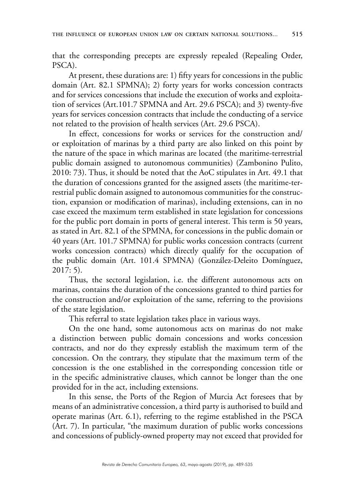that the corresponding precepts are expressly repealed (Repealing Order, PSCA).

At present, these durations are: 1) fifty years for concessions in the public domain (Art. 82.1 SPMNA); 2) forty years for works concession contracts and for services concessions that include the execution of works and exploitation of services (Art.101.7 SPMNA and Art. 29.6 PSCA); and 3) twenty-five years for services concession contracts that include the conducting of a service not related to the provision of health services (Art. 29.6 PSCA).

In effect, concessions for works or services for the construction and/ or exploitation of marinas by a third party are also linked on this point by the nature of the space in which marinas are located (the maritime-terrestrial public domain assigned to autonomous communities) (Zambonino Pulito, 2010: 73). Thus, it should be noted that the AoC stipulates in Art. 49.1 that the duration of concessions granted for the assigned assets (the maritime-terrestrial public domain assigned to autonomous communities for the construction, expansion or modification of marinas), including extensions, can in no case exceed the maximum term established in state legislation for concessions for the public port domain in ports of general interest. This term is 50 years, as stated in Art. 82.1 of the SPMNA, for concessions in the public domain or 40 years (Art. 101.7 SPMNA) for public works concession contracts (current works concession contracts) which directly qualify for the occupation of the public domain (Art. 101.4 SPMNA) (González-Deleito Domínguez, 2017: 5).

Thus, the sectoral legislation, i.e. the different autonomous acts on marinas, contains the duration of the concessions granted to third parties for the construction and/or exploitation of the same, referring to the provisions of the state legislation.

This referral to state legislation takes place in various ways.

On the one hand, some autonomous acts on marinas do not make a distinction between public domain concessions and works concession contracts, and nor do they expressly establish the maximum term of the concession. On the contrary, they stipulate that the maximum term of the concession is the one established in the corresponding concession title or in the specific administrative clauses, which cannot be longer than the one provided for in the act, including extensions.

In this sense, the Ports of the Region of Murcia Act foresees that by means of an administrative concession, a third party is authorised to build and operate marinas (Art. 6.1), referring to the regime established in the PSCA (Art. 7). In particular, "the maximum duration of public works concessions and concessions of publicly-owned property may not exceed that provided for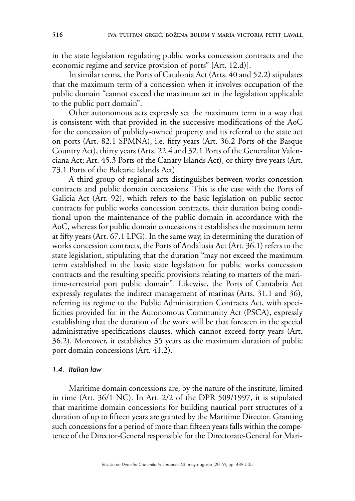in the state legislation regulating public works concession contracts and the economic regime and service provision of ports" [Art. 12.d)].

In similar terms, the Ports of Catalonia Act (Arts. 40 and 52.2) stipulates that the maximum term of a concession when it involves occupation of the public domain "cannot exceed the maximum set in the legislation applicable to the public port domain".

Other autonomous acts expressly set the maximum term in a way that is consistent with that provided in the successive modifications of the AoC for the concession of publicly-owned property and its referral to the state act on ports (Art. 82.1 SPMNA), i.e. fifty years (Art. 36.2 Ports of the Basque Country Act), thirty years (Arts. 22.4 and 32.1 Ports of the Generalitat Valenciana Act; Art. 45.3 Ports of the Canary Islands Act), or thirty-five years (Art. 73.1 Ports of the Balearic Islands Act).

A third group of regional acts distinguishes between works concession contracts and public domain concessions. This is the case with the Ports of Galicia Act (Art. 92), which refers to the basic legislation on public sector contracts for public works concession contracts, their duration being conditional upon the maintenance of the public domain in accordance with the AoC, whereas for public domain concessions it establishes the maximum term at fifty years (Art. 67.1 LPG). In the same way, in determining the duration of works concession contracts, the Ports of Andalusia Act (Art. 36.1) refers to the state legislation, stipulating that the duration "may not exceed the maximum term established in the basic state legislation for public works concession contracts and the resulting specific provisions relating to matters of the maritime-terrestrial port public domain". Likewise, the Ports of Cantabria Act expressly regulates the indirect management of marinas (Arts. 31.1 and 36), referring its regime to the Public Administration Contracts Act, with specificities provided for in the Autonomous Community Act (PSCA), expressly establishing that the duration of the work will be that foreseen in the special administrative specifications clauses, which cannot exceed forty years (Art. 36.2). Moreover, it establishes 35 years as the maximum duration of public port domain concessions (Art. 41.2).

#### *1.4. Italian law*

Maritime domain concessions are, by the nature of the institute, limited in time (Art. 36/1 NC). In Art. 2/2 of the DPR 509/1997, it is stipulated that maritime domain concessions for building nautical port structures of a duration of up to fifteen years are granted by the Maritime Director. Granting such concessions for a period of more than fifteen years falls within the competence of the Director-General responsible for the Directorate-General for Mari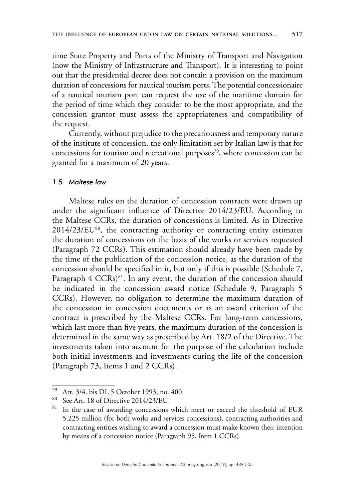time State Property and Ports of the Ministry of Transport and Navigation (now the Ministry of Infrastructure and Transport). It is interesting to point out that the presidential decree does not contain a provision on the maximum duration of concessions for nautical tourism ports. The potential concessionaire of a nautical tourism port can request the use of the maritime domain for the period of time which they consider to be the most appropriate, and the concession grantor must assess the appropriateness and compatibility of the request.

Currently, without prejudice to the precariousness and temporary nature of the institute of concession, the only limitation set by Italian law is that for concessions for tourism and recreational purposes $79$ , where concession can be granted for a maximum of 20 years.

#### *1.5. Maltese law*

Maltese rules on the duration of concession contracts were drawn up under the significant influence of Directive 2014/23/EU. According to the Maltese CCRs, the duration of concessions is limited. As in Directive 2014/23/EU<sup>80</sup>, the contracting authority or contracting entity estimates the duration of concessions on the basis of the works or services requested (Paragraph 72 CCRs). This estimation should already have been made by the time of the publication of the concession notice, as the duration of the concession should be specified in it, but only if this is possible (Schedule 7, Paragraph 4 CCRs)<sup>81</sup>. In any event, the duration of the concession should be indicated in the concession award notice (Schedule 9, Paragraph 5 CCRs). However, no obligation to determine the maximum duration of the concession in concession documents or as an award criterion of the contract is prescribed by the Maltese CCRs. For long-term concessions, which last more than five years, the maximum duration of the concession is determined in the same way as prescribed by Art. 18/2 of the Directive. The investments taken into account for the purpose of the calculation include both initial investments and investments during the life of the concession (Paragraph 73, Items 1 and 2 CCRs).

<sup>79</sup> Art. 3/4. bis DL 5 October 1993, no. 400.

<sup>80</sup> See Art. 18 of Directive 2014/23/EU.

In the case of awarding concessions which meet or exceed the threshold of EUR 5.225 million (for both works and services concessions), contracting authorities and contracting entities wishing to award a concession must make known their intention by means of a concession notice (Paragraph 95, Item 1 CCRs).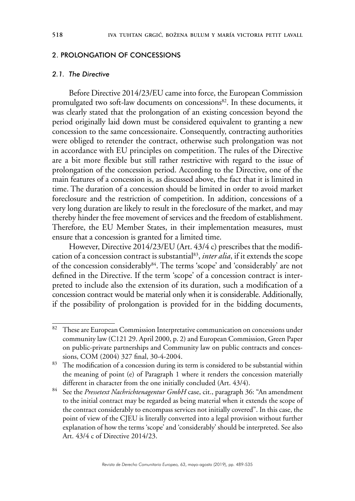#### 2. PROLONGATION OF CONCESSIONS

#### *2.1. The Directive*

Before Directive 2014/23/EU came into force, the European Commission promulgated two soft-law documents on concessions<sup>82</sup>. In these documents, it was clearly stated that the prolongation of an existing concession beyond the period originally laid down must be considered equivalent to granting a new concession to the same concessionaire. Consequently, contracting authorities were obliged to retender the contract, otherwise such prolongation was not in accordance with EU principles on competition. The rules of the Directive are a bit more flexible but still rather restrictive with regard to the issue of prolongation of the concession period. According to the Directive, one of the main features of a concession is, as discussed above, the fact that it is limited in time. The duration of a concession should be limited in order to avoid market foreclosure and the restriction of competition. In addition, concessions of a very long duration are likely to result in the foreclosure of the market, and may thereby hinder the free movement of services and the freedom of establishment. Therefore, the EU Member States, in their implementation measures, must ensure that a concession is granted for a limited time.

However, Directive 2014/23/EU (Art. 43/4 c) prescribes that the modification of a concession contract is substantial83, *inter alia*, if it extends the scope of the concession considerably<sup>84</sup>. The terms 'scope' and 'considerably' are not defined in the Directive. If the term 'scope' of a concession contract is interpreted to include also the extension of its duration, such a modification of a concession contract would be material only when it is considerable. Additionally, if the possibility of prolongation is provided for in the bidding documents,

<sup>&</sup>lt;sup>82</sup> These are European Commission Interpretative communication on concessions under community law (C121 29. April 2000, p. 2) and European Commission, Green Paper on public-private partnerships and Community law on public contracts and concessions, COM (2004) 327 final, 30-4-2004.

<sup>&</sup>lt;sup>83</sup> The modification of a concession during its term is considered to be substantial within the meaning of point (e) of Paragraph 1 where it renders the concession materially different in character from the one initially concluded (Art. 43/4).

<sup>84</sup> See the *Pressetext Nachrichtenagentur GmbH* case, cit., paragraph 36: "An amendment to the initial contract may be regarded as being material when it extends the scope of the contract considerably to encompass services not initially covered". In this case, the point of view of the CJEU is literally converted into a legal provision without further explanation of how the terms 'scope' and 'considerably' should be interpreted. See also Art. 43/4 c of Directive 2014/23.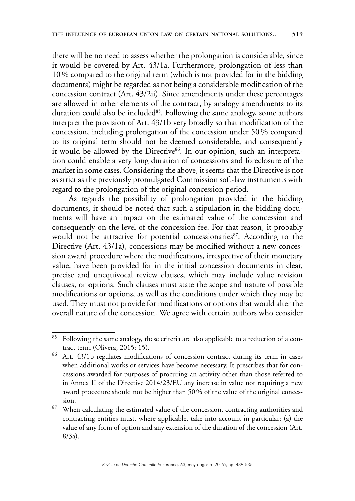there will be no need to assess whether the prolongation is considerable, since it would be covered by Art. 43/1a. Furthermore, prolongation of less than 10% compared to the original term (which is not provided for in the bidding documents) might be regarded as not being a considerable modification of the concession contract (Art. 43/2ii). Since amendments under these percentages are allowed in other elements of the contract, by analogy amendments to its duration could also be included<sup>85</sup>. Following the same analogy, some authors interpret the provision of Art. 43/1b very broadly so that modification of the concession, including prolongation of the concession under 50% compared to its original term should not be deemed considerable, and consequently it would be allowed by the Directive<sup>86</sup>. In our opinion, such an interpretation could enable a very long duration of concessions and foreclosure of the market in some cases. Considering the above, it seems that the Directive is not as strict as the previously promulgated Commission soft-law instruments with regard to the prolongation of the original concession period.

As regards the possibility of prolongation provided in the bidding documents, it should be noted that such a stipulation in the bidding documents will have an impact on the estimated value of the concession and consequently on the level of the concession fee. For that reason, it probably would not be attractive for potential concessionaries<sup>87</sup>. According to the Directive (Art. 43/1a), concessions may be modified without a new concession award procedure where the modifications, irrespective of their monetary value, have been provided for in the initial concession documents in clear, precise and unequivocal review clauses, which may include value revision clauses, or options. Such clauses must state the scope and nature of possible modifications or options, as well as the conditions under which they may be used. They must not provide for modifications or options that would alter the overall nature of the concession. We agree with certain authors who consider

<sup>&</sup>lt;sup>85</sup> Following the same analogy, these criteria are also applicable to a reduction of a contract term (Olivera, 2015: 15).

<sup>86</sup> Art. 43/1b regulates modifications of concession contract during its term in cases when additional works or services have become necessary. It prescribes that for concessions awarded for purposes of procuring an activity other than those referred to in Annex II of the Directive 2014/23/EU any increase in value not requiring a new award procedure should not be higher than 50% of the value of the original concession.

 $87$  When calculating the estimated value of the concession, contracting authorities and contracting entities must, where applicable, take into account in particular: (a) the value of any form of option and any extension of the duration of the concession (Art. 8/3a).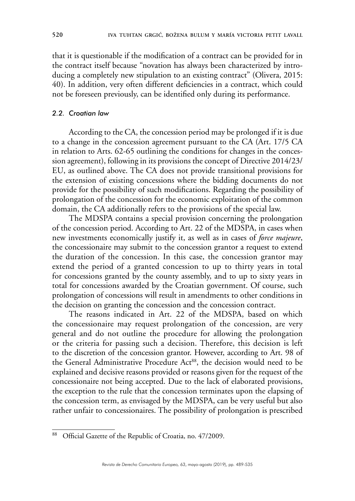that it is questionable if the modification of a contract can be provided for in the contract itself because "novation has always been characterized by introducing a completely new stipulation to an existing contract" (Olivera, 2015: 40). In addition, very often different deficiencies in a contract, which could not be foreseen previously, can be identified only during its performance.

#### *2.2. Croatian law*

According to the CA, the concession period may be prolonged if it is due to a change in the concession agreement pursuant to the CA (Art. 17/5 CA in relation to Arts. 62-65 outlining the conditions for changes in the concession agreement), following in its provisions the concept of Directive 2014/23/ EU, as outlined above. The CA does not provide transitional provisions for the extension of existing concessions where the bidding documents do not provide for the possibility of such modifications. Regarding the possibility of prolongation of the concession for the economic exploitation of the common domain, the CA additionally refers to the provisions of the special law.

The MDSPA contains a special provision concerning the prolongation of the concession period. According to Art. 22 of the MDSPA, in cases when new investments economically justify it, as well as in cases of *force majeure*, the concessionaire may submit to the concession grantor a request to extend the duration of the concession. In this case, the concession grantor may extend the period of a granted concession to up to thirty years in total for concessions granted by the county assembly, and to up to sixty years in total for concessions awarded by the Croatian government. Of course, such prolongation of concessions will result in amendments to other conditions in the decision on granting the concession and the concession contract.

The reasons indicated in Art. 22 of the MDSPA, based on which the concessionaire may request prolongation of the concession, are very general and do not outline the procedure for allowing the prolongation or the criteria for passing such a decision. Therefore, this decision is left to the discretion of the concession grantor. However, according to Art. 98 of the General Administrative Procedure Act<sup>88</sup>, the decision would need to be explained and decisive reasons provided or reasons given for the request of the concessionaire not being accepted. Due to the lack of elaborated provisions, the exception to the rule that the concession terminates upon the elapsing of the concession term, as envisaged by the MDSPA, can be very useful but also rather unfair to concessionaires. The possibility of prolongation is prescribed

<sup>88</sup> Official Gazette of the Republic of Croatia, no. 47/2009.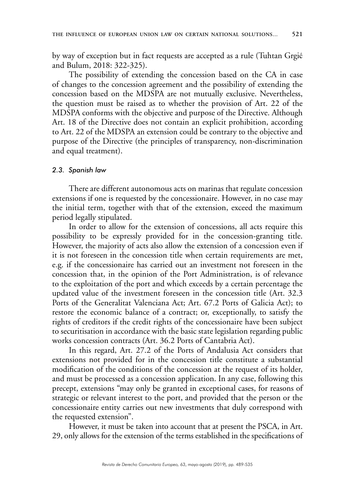by way of exception but in fact requests are accepted as a rule (Tuhtan Grgić and Bulum, 2018: 322-325).

The possibility of extending the concession based on the CA in case of changes to the concession agreement and the possibility of extending the concession based on the MDSPA are not mutually exclusive. Nevertheless, the question must be raised as to whether the provision of Art. 22 of the MDSPA conforms with the objective and purpose of the Directive. Although Art. 18 of the Directive does not contain an explicit prohibition, according to Art. 22 of the MDSPA an extension could be contrary to the objective and purpose of the Directive (the principles of transparency, non-discrimination and equal treatment).

#### *2.3. Spanish law*

There are different autonomous acts on marinas that regulate concession extensions if one is requested by the concessionaire. However, in no case may the initial term, together with that of the extension, exceed the maximum period legally stipulated.

In order to allow for the extension of concessions, all acts require this possibility to be expressly provided for in the concession-granting title. However, the majority of acts also allow the extension of a concession even if it is not foreseen in the concession title when certain requirements are met, e.g. if the concessionaire has carried out an investment not foreseen in the concession that, in the opinion of the Port Administration, is of relevance to the exploitation of the port and which exceeds by a certain percentage the updated value of the investment foreseen in the concession title (Art. 32.3 Ports of the Generalitat Valenciana Act; Art. 67.2 Ports of Galicia Act); to restore the economic balance of a contract; or, exceptionally, to satisfy the rights of creditors if the credit rights of the concessionaire have been subject to securitisation in accordance with the basic state legislation regarding public works concession contracts (Art. 36.2 Ports of Cantabria Act).

In this regard, Art. 27.2 of the Ports of Andalusia Act considers that extensions not provided for in the concession title constitute a substantial modification of the conditions of the concession at the request of its holder, and must be processed as a concession application. In any case, following this precept, extensions "may only be granted in exceptional cases, for reasons of strategic or relevant interest to the port, and provided that the person or the concessionaire entity carries out new investments that duly correspond with the requested extension".

However, it must be taken into account that at present the PSCA, in Art. 29, only allows for the extension of the terms established in the specifications of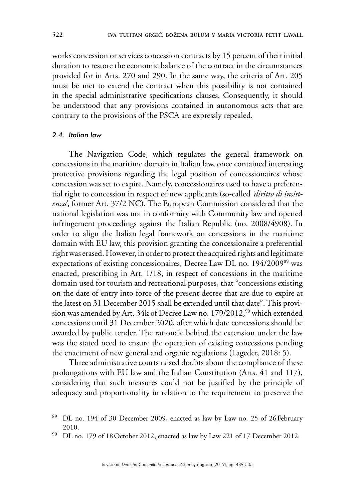works concession or services concession contracts by 15 percent of their initial duration to restore the economic balance of the contract in the circumstances provided for in Arts. 270 and 290. In the same way, the criteria of Art. 205 must be met to extend the contract when this possibility is not contained in the special administrative specifications clauses. Consequently, it should be understood that any provisions contained in autonomous acts that are contrary to the provisions of the PSCA are expressly repealed.

### *2.4. Italian law*

The Navigation Code, which regulates the general framework on concessions in the maritime domain in Italian law, once contained interesting protective provisions regarding the legal position of concessionaires whose concession was set to expire. Namely, concessionaires used to have a preferential right to concession in respect of new applicants (so-called *'diritto di insistenza'*, former Art. 37/2 NC). The European Commission considered that the national legislation was not in conformity with Community law and opened infringement proceedings against the Italian Republic (no. 2008/4908). In order to align the Italian legal framework on concessions in the maritime domain with EU law, this provision granting the concessionaire a preferential right was erased. However, in order to protect the acquired rights and legitimate expectations of existing concessionaires, Decree Law DL no. 194/200989 was enacted, prescribing in Art. 1/18, in respect of concessions in the maritime domain used for tourism and recreational purposes, that "concessions existing on the date of entry into force of the present decree that are due to expire at the latest on 31 December 2015 shall be extended until that date". This provision was amended by Art. 34k of Decree Law no. 179/2012,<sup>90</sup> which extended concessions until 31 December 2020, after which date concessions should be awarded by public tender. The rationale behind the extension under the law was the stated need to ensure the operation of existing concessions pending the enactment of new general and organic regulations (Lageder, 2018: 5).

Three administrative courts raised doubts about the compliance of these prolongations with EU law and the Italian Constitution (Arts. 41 and 117), considering that such measures could not be justified by the principle of adequacy and proportionality in relation to the requirement to preserve the

<sup>89</sup> DL no. 194 of 30 December 2009, enacted as law by Law no. 25 of 26February 2010.

<sup>90</sup> DL no. 179 of 18October 2012, enacted as law by Law 221 of 17 December 2012.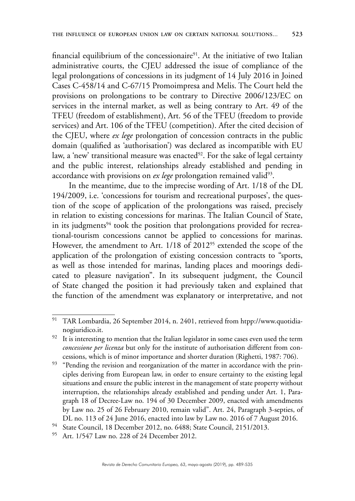financial equilibrium of the concessionaire $91$ . At the initiative of two Italian administrative courts, the CJEU addressed the issue of compliance of the legal prolongations of concessions in its judgment of 14 July 2016 in Joined Cases C-458/14 and C-67/15 Promoimpresa and Melis. The Court held the provisions on prolongations to be contrary to Directive 2006/123/EC on services in the internal market, as well as being contrary to Art. 49 of the TFEU (freedom of establishment), Art. 56 of the TFEU (freedom to provide services) and Art. 106 of the TFEU (competition). After the cited decision of the CJEU, where *ex lege* prolongation of concession contracts in the public domain (qualified as 'authorisation') was declared as incompatible with EU law, a 'new' transitional measure was enacted<sup>92</sup>. For the sake of legal certainty and the public interest, relationships already established and pending in accordance with provisions on *ex lege* prolongation remained valid<sup>93</sup>.

In the meantime, due to the imprecise wording of Art. 1/18 of the DL 194/2009, i.e. 'concessions for tourism and recreational purposes', the question of the scope of application of the prolongations was raised, precisely in relation to existing concessions for marinas. The Italian Council of State, in its judgments $94$  took the position that prolongations provided for recreational-tourism concessions cannot be applied to concessions for marinas. However, the amendment to Art. 1/18 of 2012<sup>95</sup> extended the scope of the application of the prolongation of existing concession contracts to "sports, as well as those intended for marinas, landing places and moorings dedicated to pleasure navigation". In its subsequent judgment, the Council of State changed the position it had previously taken and explained that the function of the amendment was explanatory or interpretative, and not

<sup>94</sup> State Council, 18 December 2012, no. 6488; State Council, 2151/2013.

<sup>91</sup> TAR Lombardia, 26 September 2014, n. 2401, retrieved from htpp:/[/www.quotidia-](http://www.quotidianogiuridico.it)

[nogiuridico.it.](http://www.quotidianogiuridico.it) <sup>92</sup> It is interesting to mention that the Italian legislator in some cases even used the term *concessione per licenza* but only for the institute of authorisation different from concessions, which is of minor importance and shorter duration (Righetti, 1987: 706).

<sup>&</sup>lt;sup>93</sup> "Pending the revision and reorganization of the matter in accordance with the principles deriving from European law, in order to ensure certainty to the existing legal situations and ensure the public interest in the management of state property without interruption, the relationships already established and pending under Art. 1, Paragraph 18 of Decree-Law no. 194 of 30 December 2009, enacted with amendments by Law no. 25 of 26 February 2010, remain valid". Art. 24, Paragraph 3-septies, of DL no. 113 of 24 June 2016, enacted into law by Law no. 2016 of 7 August 2016.

<sup>95</sup> Art. 1/547 Law no. 228 of 24 December 2012.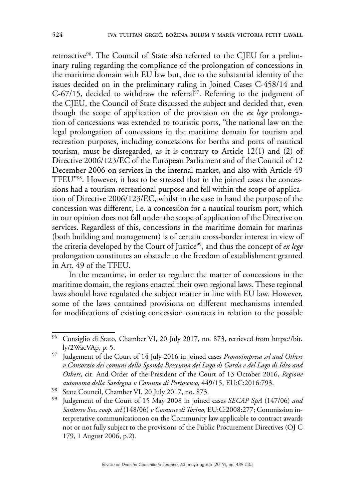retroactive<sup>96</sup>. The Council of State also referred to the CJEU for a preliminary ruling regarding the compliance of the prolongation of concessions in the maritime domain with EU law but, due to the substantial identity of the issues decided on in the preliminary ruling in Joined Cases C-458/14 and  $C$ -67/15, decided to withdraw the referral<sup>97</sup>. Referring to the judgment of the CJEU, the Council of State discussed the subject and decided that, even though the scope of application of the provision on the *ex lege* prolongation of concessions was extended to touristic ports, "the national law on the legal prolongation of concessions in the maritime domain for tourism and recreation purposes, including concessions for berths and ports of nautical tourism, must be disregarded, as it is contrary to Article 12(1) and (2) of Directive 2006/123/EC of the European Parliament and of the Council of 12 December 2006 on services in the internal market, and also with Article 49 TFEU"98. However, it has to be stressed that in the joined cases the concessions had a tourism-recreational purpose and fell within the scope of application of Directive 2006/123/EC, whilst in the case in hand the purpose of the concession was different, i.e. a concession for a nautical tourism port, which in our opinion does not fall under the scope of application of the Directive on services. Regardless of this, concessions in the maritime domain for marinas (both building and management) is of certain cross-border interest in view of the criteria developed by the Court of Justice<sup>99</sup>, and thus the concept of *ex lege* prolongation constitutes an obstacle to the freedom of establishment granted in Art. 49 of the TFEU.

In the meantime, in order to regulate the matter of concessions in the maritime domain, the regions enacted their own regional laws. These regional laws should have regulated the subject matter in line with EU law. However, some of the laws contained provisions on different mechanisms intended for modifications of existing concession contracts in relation to the possible

<sup>&</sup>lt;sup>96</sup> Consiglio di Stato, Chamber VI, 20 July 2017, no. 873, retrieved from [https://bit.](https://bit.ly/2WacVAp) [ly/2WacVAp,](https://bit.ly/2WacVAp) p. 5.

<sup>97</sup> Judgement of the Court of 14 July 2016 in joined cases *Promoimpresa srl and Others v Consorzio dei comuni della Sponda Bresciana del Lago di Garda e del Lago di Idro and Others*, cit. And Order of the President of the Court of 13 October 2016, *Regione autonoma della Sardegna v Comune di Portoscuso,* 449/15, EU:C:2016:793.

<sup>98</sup> State Council, Chamber VI, 20 July 2017, no. 873.

<sup>99</sup> Judgement of the Court of 15 May 2008 in joined cases *SECAP SpA* (147/06) *and Santorso Soc. coop. arl* (148/06) *v Comune di Torino,* EU:C:2008:277; Commission interpretative communicationon on the Community law applicable to contract awards not or not fully subject to the provisions of the Public Procurement Directives (OJ C 179, 1 August 2006, p.2).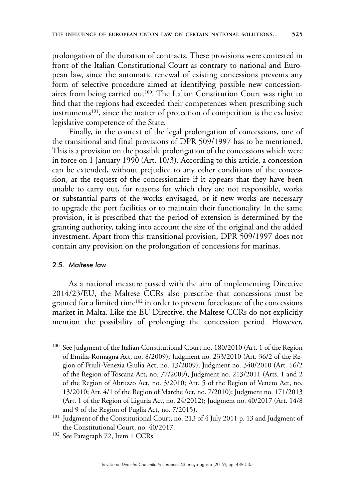prolongation of the duration of contracts. These provisions were contested in front of the Italian Constitutional Court as contrary to national and European law, since the automatic renewal of existing concessions prevents any form of selective procedure aimed at identifying possible new concessionaires from being carried out<sup>100</sup>. The Italian Constitution Court was right to find that the regions had exceeded their competences when prescribing such instruments<sup>101</sup>, since the matter of protection of competition is the exclusive legislative competence of the State.

Finally, in the context of the legal prolongation of concessions, one of the transitional and final provisions of DPR 509/1997 has to be mentioned. This is a provision on the possible prolongation of the concessions which were in force on 1 January 1990 (Art. 10/3). According to this article, a concession can be extended, without prejudice to any other conditions of the concession, at the request of the concessionaire if it appears that they have been unable to carry out, for reasons for which they are not responsible, works or substantial parts of the works envisaged, or if new works are necessary to upgrade the port facilities or to maintain their functionality. In the same provision, it is prescribed that the period of extension is determined by the granting authority, taking into account the size of the original and the added investment. Apart from this transitional provision, DPR 509/1997 does not contain any provision on the prolongation of concessions for marinas.

#### *2.5. Maltese law*

As a national measure passed with the aim of implementing Directive 2014/23/EU, the Maltese CCRs also prescribe that concessions must be granted for a limited time<sup>102</sup> in order to prevent foreclosure of the concessions market in Malta. Like the EU Directive, the Maltese CCRs do not explicitly mention the possibility of prolonging the concession period. However,

<sup>100</sup> See Judgment of the Italian Constitutional Court no. 180/2010 (Art. 1 of the Region of Emilia-Romagna Act, no. 8/2009); Judgment no. 233/2010 (Art. 36/2 of the Region of Friuli-Venezia Giulia Act, no. 13/2009); Judgment no. 340/2010 (Art. 16/2 of the Region of Toscana Act, no. 77/2009), Judgment no. 213/2011 (Arts. 1 and 2 of the Region of Abruzzo Act, no. 3/2010; Art. 5 of the Region of Veneto Act, no. 13/2010; Art. 4/1 of the Region of Marche Act, no. 7/2010); Judgment no. 171/2013 (Art. 1 of the Region of Liguria Act, no. 24/2012); Judgment no. 40/2017 (Art. 14/8 and 9 of the Region of Puglia Act, no. 7/2015). 101 Judgment of the Constitutional Court, no. 213 of 4 July 2011 p. 13 and Judgment of

the Constitutional Court, no. 40/2017.

<sup>&</sup>lt;sup>102</sup> See Paragraph 72, Item 1 CCRs.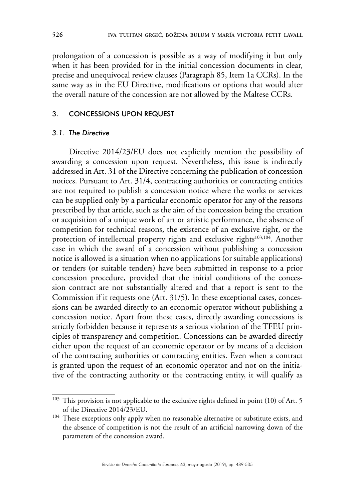prolongation of a concession is possible as a way of modifying it but only when it has been provided for in the initial concession documents in clear, precise and unequivocal review clauses (Paragraph 85, Item 1a CCRs). In the same way as in the EU Directive, modifications or options that would alter the overall nature of the concession are not allowed by the Maltese CCRs.

#### 3. CONCESSIONS UPON REQUEST

#### *3.1. The Directive*

Directive 2014/23/EU does not explicitly mention the possibility of awarding a concession upon request. Nevertheless, this issue is indirectly addressed in Art. 31 of the Directive concerning the publication of concession notices. Pursuant to Art. 31/4, contracting authorities or contracting entities are not required to publish a concession notice where the works or services can be supplied only by a particular economic operator for any of the reasons prescribed by that article, such as the aim of the concession being the creation or acquisition of a unique work of art or artistic performance, the absence of competition for technical reasons, the existence of an exclusive right, or the protection of intellectual property rights and exclusive rights<sup>103,104</sup>. Another case in which the award of a concession without publishing a concession notice is allowed is a situation when no applications (or suitable applications) or tenders (or suitable tenders) have been submitted in response to a prior concession procedure, provided that the initial conditions of the concession contract are not substantially altered and that a report is sent to the Commission if it requests one (Art. 31/5). In these exceptional cases, concessions can be awarded directly to an economic operator without publishing a concession notice. Apart from these cases, directly awarding concessions is strictly forbidden because it represents a serious violation of the TFEU principles of transparency and competition. Concessions can be awarded directly either upon the request of an economic operator or by means of a decision of the contracting authorities or contracting entities. Even when a contract is granted upon the request of an economic operator and not on the initiative of the contracting authority or the contracting entity, it will qualify as

<sup>&</sup>lt;sup>103</sup> This provision is not applicable to the exclusive rights defined in point (10) of Art. 5 of the Directive 2014/23/EU.

<sup>&</sup>lt;sup>104</sup> These exceptions only apply when no reasonable alternative or substitute exists, and the absence of competition is not the result of an artificial narrowing down of the parameters of the concession award.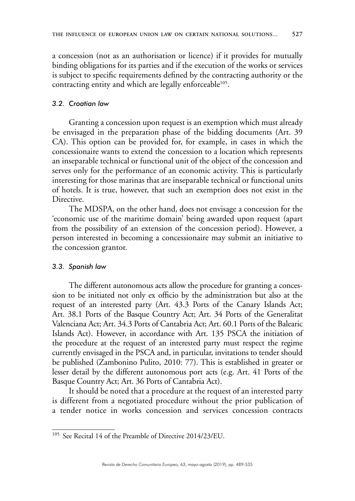a concession (not as an authorisation or licence) if it provides for mutually binding obligations for its parties and if the execution of the works or services is subject to specific requirements defined by the contracting authority or the contracting entity and which are legally enforceable<sup>105</sup>.

#### *3.2. Croatian law*

Granting a concession upon request is an exemption which must already be envisaged in the preparation phase of the bidding documents (Art. 39 CA). This option can be provided for, for example, in cases in which the concessionaire wants to extend the concession to a location which represents an inseparable technical or functional unit of the object of the concession and serves only for the performance of an economic activity. This is particularly interesting for those marinas that are inseparable technical or functional units of hotels. It is true, however, that such an exemption does not exist in the Directive.

The MDSPA, on the other hand, does not envisage a concession for the 'economic use of the maritime domain' being awarded upon request (apart from the possibility of an extension of the concession period). However, a person interested in becoming a concessionaire may submit an initiative to the concession grantor.

#### *3.3. Spanish law*

The different autonomous acts allow the procedure for granting a concession to be initiated not only ex officio by the administration but also at the request of an interested party (Art. 43.3 Ports of the Canary Islands Act; Art. 38.1 Ports of the Basque Country Act; Art. 34 Ports of the Generalitat Valenciana Act; Art. 34.3 Ports of Cantabria Act; Art. 60.1 Ports of the Balearic Islands Act). However, in accordance with Art. 135 PSCA the initiation of the procedure at the request of an interested party must respect the regime currently envisaged in the PSCA and, in particular, invitations to tender should be published (Zambonino Pulito, 2010: 77). This is established in greater or lesser detail by the different autonomous port acts (e.g. Art. 41 Ports of the Basque Country Act; Art. 36 Ports of Cantabria Act).

It should be noted that a procedure at the request of an interested party is different from a negotiated procedure without the prior publication of a tender notice in works concession and services concession contracts

<sup>&</sup>lt;sup>105</sup> See Recital 14 of the Preamble of Directive 2014/23/EU.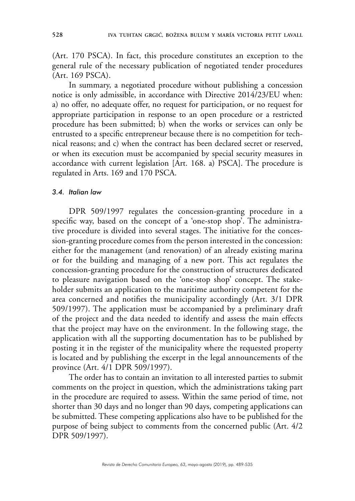(Art. 170 PSCA). In fact, this procedure constitutes an exception to the general rule of the necessary publication of negotiated tender procedures (Art. 169 PSCA).

In summary, a negotiated procedure without publishing a concession notice is only admissible, in accordance with Directive 2014/23/EU when: a) no offer, no adequate offer, no request for participation, or no request for appropriate participation in response to an open procedure or a restricted procedure has been submitted; b) when the works or services can only be entrusted to a specific entrepreneur because there is no competition for technical reasons; and c) when the contract has been declared secret or reserved, or when its execution must be accompanied by special security measures in accordance with current legislation [Art. 168. a) PSCA]. The procedure is regulated in Arts. 169 and 170 PSCA.

#### *3.4. Italian law*

DPR 509/1997 regulates the concession-granting procedure in a specific way, based on the concept of a 'one-stop shop'. The administrative procedure is divided into several stages. The initiative for the concession-granting procedure comes from the person interested in the concession: either for the management (and renovation) of an already existing marina or for the building and managing of a new port. This act regulates the concession-granting procedure for the construction of structures dedicated to pleasure navigation based on the 'one-stop shop' concept. The stakeholder submits an application to the maritime authority competent for the area concerned and notifies the municipality accordingly (Art. 3/1 DPR 509/1997). The application must be accompanied by a preliminary draft of the project and the data needed to identify and assess the main effects that the project may have on the environment. In the following stage, the application with all the supporting documentation has to be published by posting it in the register of the municipality where the requested property is located and by publishing the excerpt in the legal announcements of the province (Art. 4/1 DPR 509/1997).

The order has to contain an invitation to all interested parties to submit comments on the project in question, which the administrations taking part in the procedure are required to assess. Within the same period of time, not shorter than 30 days and no longer than 90 days, competing applications can be submitted. These competing applications also have to be published for the purpose of being subject to comments from the concerned public (Art. 4/2 DPR 509/1997).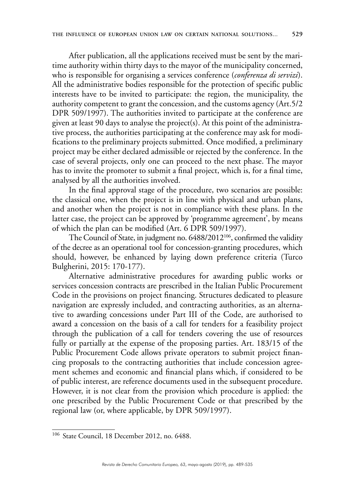After publication, all the applications received must be sent by the maritime authority within thirty days to the mayor of the municipality concerned, who is responsible for organising a services conference (*conferenza di servizi*). All the administrative bodies responsible for the protection of specific public interests have to be invited to participate: the region, the municipality, the authority competent to grant the concession, and the customs agency (Art.5/2 DPR 509/1997). The authorities invited to participate at the conference are given at least 90 days to analyse the project(s). At this point of the administrative process, the authorities participating at the conference may ask for modifications to the preliminary projects submitted. Once modified, a preliminary project may be either declared admissible or rejected by the conference. In the case of several projects, only one can proceed to the next phase. The mayor has to invite the promoter to submit a final project, which is, for a final time, analysed by all the authorities involved.

In the final approval stage of the procedure, two scenarios are possible: the classical one, when the project is in line with physical and urban plans, and another when the project is not in compliance with these plans. In the latter case, the project can be approved by 'programme agreement', by means of which the plan can be modified (Art. 6 DPR 509/1997).

The Council of State, in judgment no. 6488/2012<sup>106</sup>, confirmed the validity of the decree as an operational tool for concession-granting procedures, which should, however, be enhanced by laying down preference criteria (Turco Bulgherini, 2015: 170-177).

Alternative administrative procedures for awarding public works or services concession contracts are prescribed in the Italian Public Procurement Code in the provisions on project financing. Structures dedicated to pleasure navigation are expressly included, and contracting authorities, as an alternative to awarding concessions under Part III of the Code, are authorised to award a concession on the basis of a call for tenders for a feasibility project through the publication of a call for tenders covering the use of resources fully or partially at the expense of the proposing parties. Art. 183/15 of the Public Procurement Code allows private operators to submit project financing proposals to the contracting authorities that include concession agreement schemes and economic and financial plans which, if considered to be of public interest, are reference documents used in the subsequent procedure. However, it is not clear from the provision which procedure is applied: the one prescribed by the Public Procurement Code or that prescribed by the regional law (or, where applicable, by DPR 509/1997).

<sup>106</sup> State Council, 18 December 2012, no. 6488.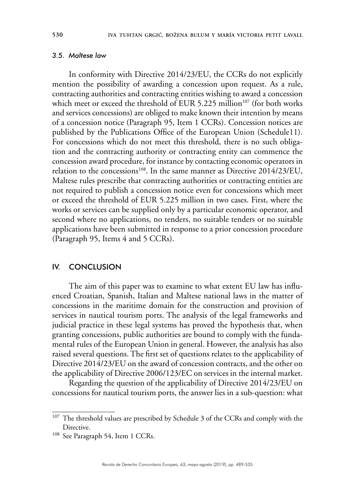#### *3.5. Maltese law*

In conformity with Directive 2014/23/EU, the CCRs do not explicitly mention the possibility of awarding a concession upon request. As a rule, contracting authorities and contracting entities wishing to award a concession which meet or exceed the threshold of EUR 5.225 million<sup>107</sup> (for both works and services concessions) are obliged to make known their intention by means of a concession notice (Paragraph 95, Item 1 CCRs). Concession notices are published by the Publications Office of the European Union (Schedule11). For concessions which do not meet this threshold, there is no such obligation and the contracting authority or contracting entity can commence the concession award procedure, for instance by contacting economic operators in relation to the concessions<sup>108</sup>. In the same manner as Directive 2014/23/EU, Maltese rules prescribe that contracting authorities or contracting entities are not required to publish a concession notice even for concessions which meet or exceed the threshold of EUR 5.225 million in two cases. First, where the works or services can be supplied only by a particular economic operator, and second where no applications, no tenders, no suitable tenders or no suitable applications have been submitted in response to a prior concession procedure (Paragraph 95, Items 4 and 5 CCRs).

### IV. CONCLUSION

The aim of this paper was to examine to what extent EU law has influenced Croatian, Spanish, Italian and Maltese national laws in the matter of concessions in the maritime domain for the construction and provision of services in nautical tourism ports. The analysis of the legal frameworks and judicial practice in these legal systems has proved the hypothesis that, when granting concessions, public authorities are bound to comply with the fundamental rules of the European Union in general. However, the analysis has also raised several questions. The first set of questions relates to the applicability of Directive 2014/23/EU on the award of concession contracts, and the other on the applicability of Directive 2006/123/EC on services in the internal market.

Regarding the question of the applicability of Directive 2014/23/EU on concessions for nautical tourism ports, the answer lies in a sub-question: what

<sup>&</sup>lt;sup>107</sup> The threshold values are prescribed by Schedule 3 of the CCRs and comply with the Directive.

<sup>&</sup>lt;sup>108</sup> See Paragraph 54, Item 1 CCRs.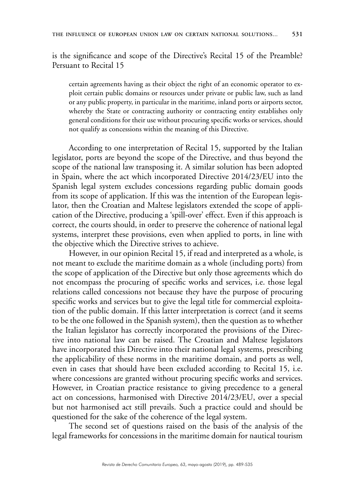is the significance and scope of the Directive's Recital 15 of the Preamble? Persuant to Recital 15

certain agreements having as their object the right of an economic operator to exploit certain public domains or resources under private or public law, such as land or any public property, in particular in the maritime, inland ports or airports sector, whereby the State or contracting authority or contracting entity establishes only general conditions for their use without procuring specific works or services, should not qualify as concessions within the meaning of this Directive.

According to one interpretation of Recital 15, supported by the Italian legislator, ports are beyond the scope of the Directive, and thus beyond the scope of the national law transposing it. A similar solution has been adopted in Spain, where the act which incorporated Directive 2014/23/EU into the Spanish legal system excludes concessions regarding public domain goods from its scope of application. If this was the intention of the European legislator, then the Croatian and Maltese legislators extended the scope of application of the Directive, producing a 'spill-over' effect. Even if this approach is correct, the courts should, in order to preserve the coherence of national legal systems, interpret these provisions, even when applied to ports, in line with the objective which the Directive strives to achieve.

However, in our opinion Recital 15, if read and interpreted as a whole, is not meant to exclude the maritime domain as a whole (including ports) from the scope of application of the Directive but only those agreements which do not encompass the procuring of specific works and services, i.e. those legal relations called concessions not because they have the purpose of procuring specific works and services but to give the legal title for commercial exploitation of the public domain. If this latter interpretation is correct (and it seems to be the one followed in the Spanish system), then the question as to whether the Italian legislator has correctly incorporated the provisions of the Directive into national law can be raised. The Croatian and Maltese legislators have incorporated this Directive into their national legal systems, prescribing the applicability of these norms in the maritime domain, and ports as well, even in cases that should have been excluded according to Recital 15, i.e. where concessions are granted without procuring specific works and services. However, in Croatian practice resistance to giving precedence to a general act on concessions, harmonised with Directive 2014/23/EU, over a special but not harmonised act still prevails. Such a practice could and should be questioned for the sake of the coherence of the legal system.

The second set of questions raised on the basis of the analysis of the legal frameworks for concessions in the maritime domain for nautical tourism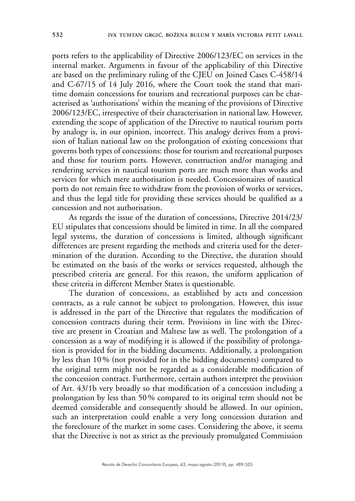ports refers to the applicability of Directive 2006/123/EC on services in the internal market. Arguments in favour of the applicability of this Directive are based on the preliminary ruling of the CJEU on Joined Cases C-458/14 and C-67/15 of 14 July 2016, where the Court took the stand that maritime domain concessions for tourism and recreational purposes can be characterised as 'authorisations' within the meaning of the provisions of Directive 2006/123/EC, irrespective of their characterisation in national law. However, extending the scope of application of the Directive to nautical tourism ports by analogy is, in our opinion, incorrect. This analogy derives from a provision of Italian national law on the prolongation of existing concessions that governs both types of concessions: those for tourism and recreational purposes and those for tourism ports. However, construction and/or managing and rendering services in nautical tourism ports are much more than works and services for which mere authorisation is needed. Concessionaires of nautical ports do not remain free to withdraw from the provision of works or services, and thus the legal title for providing these services should be qualified as a concession and not authorisation.

As regards the issue of the duration of concessions, Directive 2014/23/ EU stipulates that concessions should be limited in time. In all the compared legal systems, the duration of concessions is limited, although significant differences are present regarding the methods and criteria used for the determination of the duration. According to the Directive, the duration should be estimated on the basis of the works or services requested, although the prescribed criteria are general. For this reason, the uniform application of these criteria in different Member States is questionable.

The duration of concessions, as established by acts and concession contracts, as a rule cannot be subject to prolongation. However, this issue is addressed in the part of the Directive that regulates the modification of concession contracts during their term. Provisions in line with the Directive are present in Croatian and Maltese law as well. The prolongation of a concession as a way of modifying it is allowed if the possibility of prolongation is provided for in the bidding documents. Additionally, a prolongation by less than 10% (not provided for in the bidding documents) compared to the original term might not be regarded as a considerable modification of the concession contract. Furthermore, certain authors interpret the provision of Art. 43/1b very broadly so that modification of a concession including a prolongation by less than 50% compared to its original term should not be deemed considerable and consequently should be allowed. In our opinion, such an interpretation could enable a very long concession duration and the foreclosure of the market in some cases. Considering the above, it seems that the Directive is not as strict as the previously promulgated Commission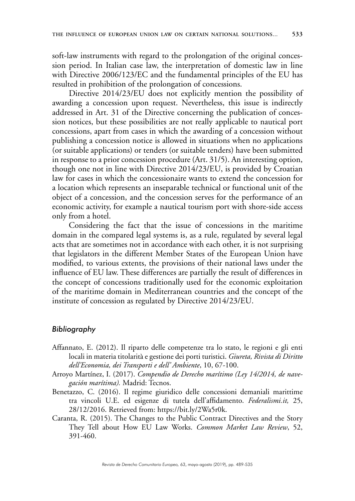soft-law instruments with regard to the prolongation of the original concession period. In Italian case law, the interpretation of domestic law in line with Directive 2006/123/EC and the fundamental principles of the EU has resulted in prohibition of the prolongation of concessions.

Directive 2014/23/EU does not explicitly mention the possibility of awarding a concession upon request. Nevertheless, this issue is indirectly addressed in Art. 31 of the Directive concerning the publication of concession notices, but these possibilities are not really applicable to nautical port concessions, apart from cases in which the awarding of a concession without publishing a concession notice is allowed in situations when no applications (or suitable applications) or tenders (or suitable tenders) have been submitted in response to a prior concession procedure (Art. 31/5). An interesting option, though one not in line with Directive 2014/23/EU, is provided by Croatian law for cases in which the concessionaire wants to extend the concession for a location which represents an inseparable technical or functional unit of the object of a concession, and the concession serves for the performance of an economic activity, for example a nautical tourism port with shore-side access only from a hotel.

Considering the fact that the issue of concessions in the maritime domain in the compared legal systems is, as a rule, regulated by several legal acts that are sometimes not in accordance with each other, it is not surprising that legislators in the different Member States of the European Union have modified, to various extents, the provisions of their national laws under the influence of EU law. These differences are partially the result of differences in the concept of concessions traditionally used for the economic exploitation of the maritime domain in Mediterranean countries and the concept of the institute of concession as regulated by Directive 2014/23/EU.

#### *Bibliography*

- Affannato, E. (2012). Il riparto delle competenze tra lo stato, le regioni e gli enti locali in materia titolarità e gestione dei porti turistici. *Giureta, Rivista di Diritto dell'Economia, dei Transporti e dell' Ambiente*, 10, 67-100.
- Arroyo Martínez, I. (2017). *Compendio de Derecho marítimo (Ley 14/2014, de navegación marítima).* Madrid: Tecnos.
- Benetazzo, C. (2016). Il regime giuridico delle concessioni demaniali marittime tra vincoli U.E. ed esigenze di tutela dell'affidamento. *Federalismi.it,* 25, 28/12/2016. Retrieved from: [https://bit.ly/2Wa5r0k.](https://bit.ly/2Wa5r0k)
- Caranta, R. (2015). The Changes to the Public Contract Directives and the Story They Tell about How EU Law Works. *Common Market Law Review*, 52, 391-460.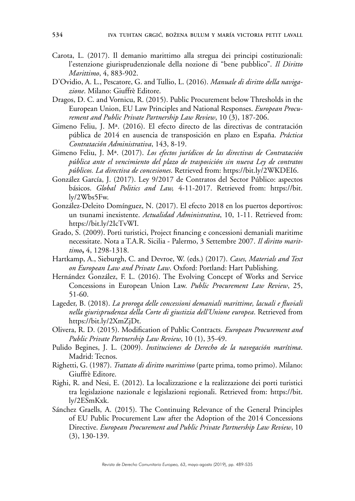- Carota, L. (2017). Il demanio marittimo alla stregua dei principi costituzionali: l'estenzione giurisprudenzionale della nozione di "bene pubblico". *Il Diritto Marittimo*, 4, 883-902.
- D'Ovidio, A. L., Pescatore, G. and Tullio, L. (2016). *Manuale di diritto della navigazione*. Milano: Giuffrè Editore.
- Dragos, D. C. and Vornicu, R. (2015). Public Procurement below Thresholds in the European Union, EU Law Principles and National Responses. *European Procurement and Public Private Partnership Law Review*, 10 (3), 187-206.
- Gimeno Feliu, J. Mª. (2016). El efecto directo de las directivas de contratación pública de 2014 en ausencia de transposición en plazo en España. *Práctica Contratación Administrativa*, 143, 8-19.
- Gimeno Feliu, J. Mª. (2017). *Los efectos jurídicos de las directivas de Contratación pública ante el vencimiento del plazo de trasposición sin nueva Ley de contratos públicos. La directiva de concesiones*. Retrieved from:<https://bit.ly/2WKDEI6>.
- González García, J. (2017). Ley 9/2017 de Contratos del Sector Público: aspectos básicos. *Global Politics and Law,* 4-11-2017. Retrieved from: [https://bit.](https://bit.ly/2Wbs5Fw) [ly/2Wbs5Fw](https://bit.ly/2Wbs5Fw).
- González-Deleito Domínguez, N. (2017). El efecto 2018 en los puertos deportivos: un tsunami inexistente. *Actualidad Administrativa*, 10, 1-11. Retrieved from: [https://bit.ly/2IcTvWI.](https://bit.ly/2IcTvWI)
- Grado, S. (2009). Porti turistici, Project financing e concessioni demaniali maritime necessitate. Nota a T.A.R. Sicilia - Palermo, 3 Settembre 2007. *Il diritto marittimo***,** 4, 1298-1318.
- Hartkamp, A., Sieburgh, C. and Devroe, W. (eds.) (2017). *Cases, Materials and Text on European Law and Private Law*. Oxford: Portland: Hart Publishing.
- Hernández González, F. L. (2016). The Evolving Concept of Works and Service Concessions in European Union Law. *Public Procurement Law Review*, 25, 51-60.
- Lageder, B. (2018). *La proroga delle concessioni demaniali marittime, lacuali e fluviali nella giurisprudenza della Corte di giustizia dell'Unione europea*. Retrieved from <https://bit.ly/2XmZjDt>.
- Olivera, R. D. (2015). Modification of Public Contracts. *European Procurement and Public Private Partnership Law Review*, 10 (1), 35-49.
- Pulido Begines, J. L. (2009). *Instituciones de Derecho de la navegación marítima*. Madrid: Tecnos.
- Righetti, G. (1987). *Trattato di diritto marittimo* (parte prima, tomo primo). Milano: Giuffrè Editore.
- Righi, R. and Nesi, E. (2012). La localizzazione e la realizzazione dei porti turistici tra legislazione nazionale e legislazioni regionali. Retrieved from: [https://bit.](https://bit.ly/2ESmKxk) [ly/2ESmKxk](https://bit.ly/2ESmKxk).
- Sánchez Graells, A. (2015). The Continuing Relevance of the General Principles of EU Public Procurement Law after the Adoption of the 2014 Concessions Directive. *European Procurement and Public Private Partnership Law Review*, 10 (3), 130-139.